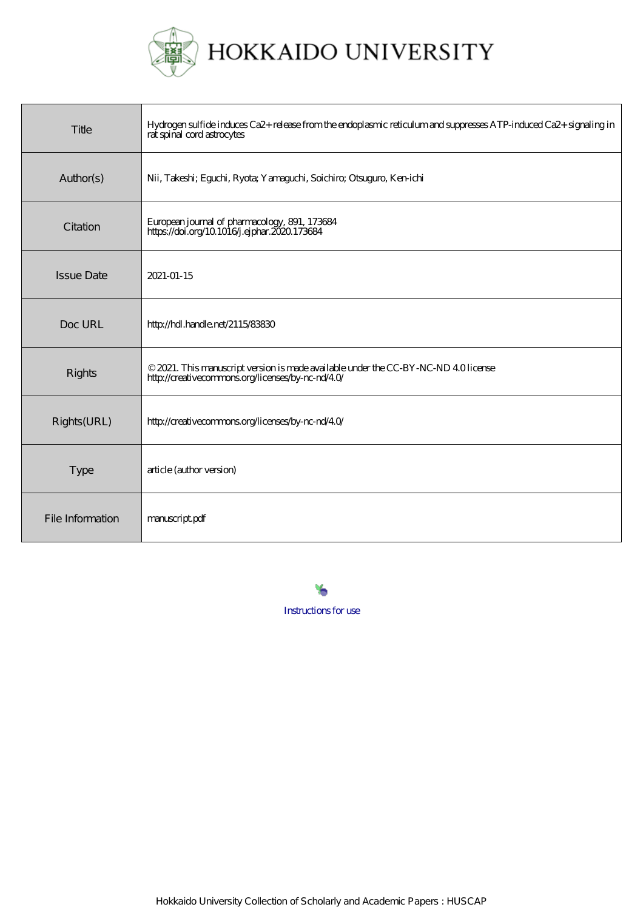

HOKKAIDO UNIVERSITY

| Title             | Hydrogen sulfide induces Ca2+ release from the endoplasmic reticulum and suppresses ATP-induced Ca2+ signaling in<br>rat spinal cord astrocytes |
|-------------------|-------------------------------------------------------------------------------------------------------------------------------------------------|
| Author(s)         | Nii, Takeshi; Eguchi, Ryota; Yamaguchi, Soichiro; Otsuguro, Ken-ichi                                                                            |
| Citation          | European journal of pharmacology, 891, 173684<br>https://doi.org/10.1016/j.ejphar.2020.173684                                                   |
| <b>Issue Date</b> | 2021-01-15                                                                                                                                      |
| Doc URL           | http://hdl.handle.net/2115/83830                                                                                                                |
| Rights            | © 2021. This manuscript version is made available under the CC-BY-NC-ND 40 license<br>http://creativecommons.org/licenses/by-nc-nd/40/          |
| Rights(URL)       | http://creativecommons.org/licenses/by-nc-nd/40/                                                                                                |
| <b>Type</b>       | article (author version)                                                                                                                        |
| File Information  | manuscript.pdf                                                                                                                                  |

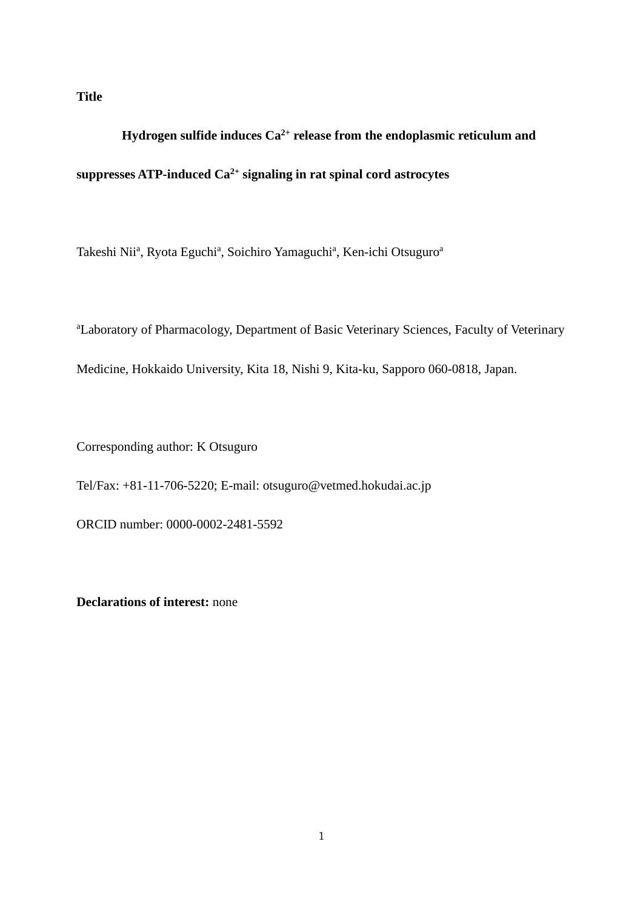### **Title**

# **Hydrogen sulfide induces Ca2+ release from the endoplasmic reticulum and suppresses ATP-induced Ca2+ signaling in rat spinal cord astrocytes**

Takeshi Nii<sup>a</sup>, Ryota Eguchi<sup>a</sup>, Soichiro Yamaguchi<sup>a</sup>, Ken-ichi Otsuguro<sup>a</sup>

<sup>a</sup>Laboratory of Pharmacology, Department of Basic Veterinary Sciences, Faculty of Veterinary Medicine, Hokkaido University, Kita 18, Nishi 9, Kita-ku, Sapporo 060-0818, Japan.

Corresponding author: K Otsuguro

Tel/Fax: +81-11-706-5220; E-mail: otsuguro@vetmed.hokudai.ac.jp

ORCID number: 0000-0002-2481-5592

**Declarations of interest:** none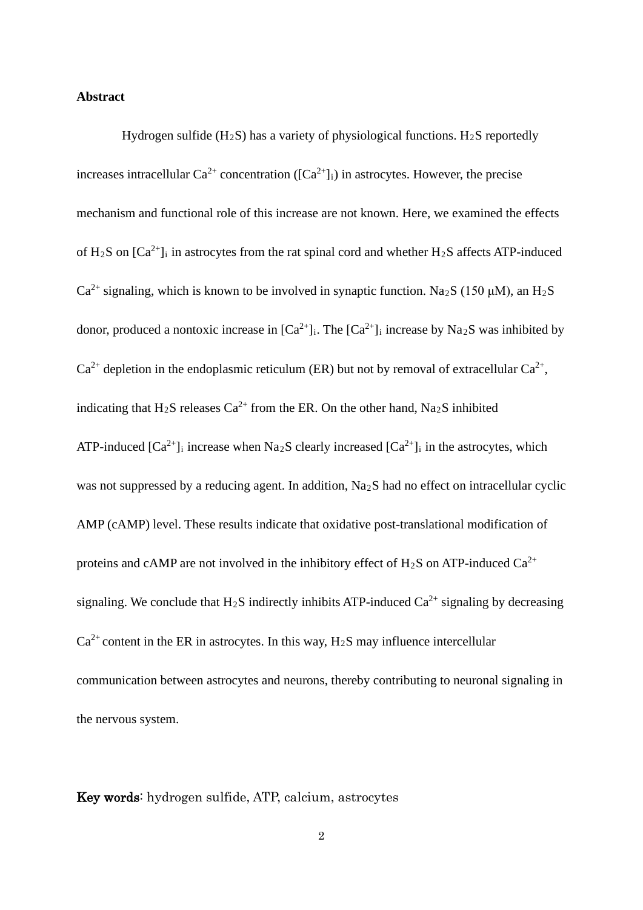#### **Abstract**

Hydrogen sulfide  $(H_2S)$  has a variety of physiological functions.  $H_2S$  reportedly increases intracellular  $Ca^{2+}$  concentration ( $[Ca^{2+}]$ <sub>i</sub>) in astrocytes. However, the precise mechanism and functional role of this increase are not known. Here, we examined the effects of H<sub>2</sub>S on  $[Ca^{2+}]$ <sub>i</sub> in astrocytes from the rat spinal cord and whether H<sub>2</sub>S affects ATP-induced  $Ca^{2+}$  signaling, which is known to be involved in synaptic function. Na<sub>2</sub>S (150 µM), an H<sub>2</sub>S donor, produced a nontoxic increase in  $[Ca^{2+}]_i$ . The  $[Ca^{2+}]_i$  increase by Na<sub>2</sub>S was inhibited by  $Ca^{2+}$  depletion in the endoplasmic reticulum (ER) but not by removal of extracellular  $Ca^{2+}$ , indicating that H<sub>2</sub>S releases Ca<sup>2+</sup> from the ER. On the other hand, Na<sub>2</sub>S inhibited ATP-induced  $[Ca^{2+}]$ <sub>i</sub> increase when Na<sub>2</sub>S clearly increased  $[Ca^{2+}]$ <sub>i</sub> in the astrocytes, which was not suppressed by a reducing agent. In addition, Na<sub>2</sub>S had no effect on intracellular cyclic AMP (cAMP) level. These results indicate that oxidative post-translational modification of proteins and cAMP are not involved in the inhibitory effect of  $H_2S$  on ATP-induced  $Ca^{2+}$ signaling. We conclude that H<sub>2</sub>S indirectly inhibits ATP-induced  $Ca^{2+}$  signaling by decreasing  $Ca^{2+}$  content in the ER in astrocytes. In this way,  $H_2S$  may influence intercellular communication between astrocytes and neurons, thereby contributing to neuronal signaling in the nervous system.

Key words: hydrogen sulfide, ATP, calcium, astrocytes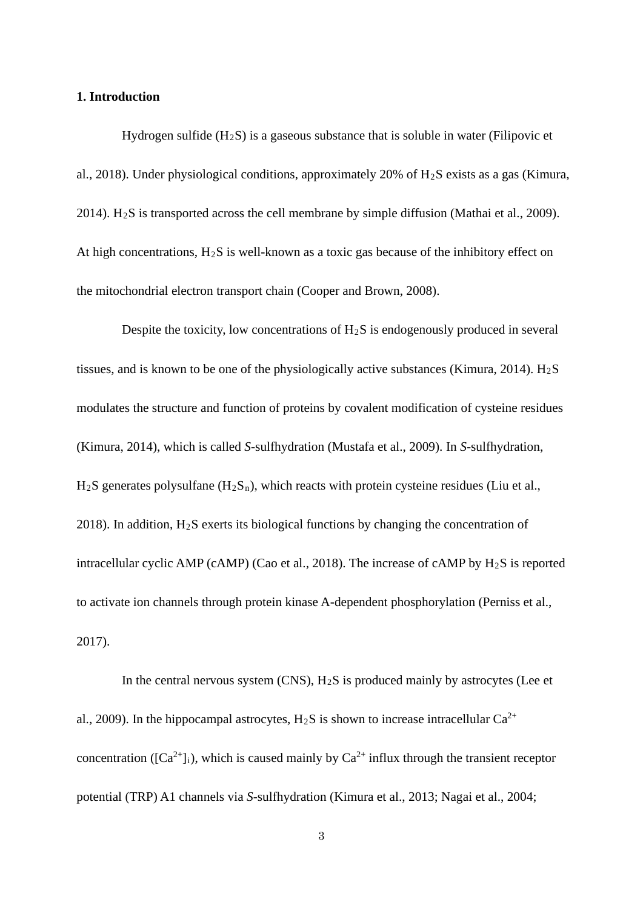#### **1. Introduction**

Hydrogen sulfide  $(H_2S)$  is a gaseous substance that is soluble in water (Filipovic et al., 2018). Under physiological conditions, approximately 20% of H2S exists as a gas (Kimura, 2014). H<sub>2</sub>S is transported across the cell membrane by simple diffusion (Mathai et al., 2009). At high concentrations,  $H_2S$  is well-known as a toxic gas because of the inhibitory effect on the mitochondrial electron transport chain (Cooper and Brown, 2008).

Despite the toxicity, low concentrations of  $H_2S$  is endogenously produced in several tissues, and is known to be one of the physiologically active substances (Kimura, 2014).  $H<sub>2</sub>S$ modulates the structure and function of proteins by covalent modification of cysteine residues (Kimura, 2014), which is called *S*-sulfhydration (Mustafa et al., 2009). In *S*-sulfhydration,  $H_2S$  generates polysulfane  $(H_2S_n)$ , which reacts with protein cysteine residues (Liu et al., 2018). In addition,  $H_2S$  exerts its biological functions by changing the concentration of intracellular cyclic AMP (cAMP) (Cao et al., 2018). The increase of cAMP by H2S is reported to activate ion channels through protein kinase A-dependent phosphorylation (Perniss et al., 2017).

In the central nervous system  $(CNS)$ ,  $H_2S$  is produced mainly by astrocytes (Lee et al., 2009). In the hippocampal astrocytes,  $H_2S$  is shown to increase intracellular  $Ca^{2+}$ concentration ( $[Ca^{2+}]i$ ), which is caused mainly by  $Ca^{2+}$  influx through the transient receptor potential (TRP) A1 channels via *S*-sulfhydration (Kimura et al., 2013; Nagai et al., 2004;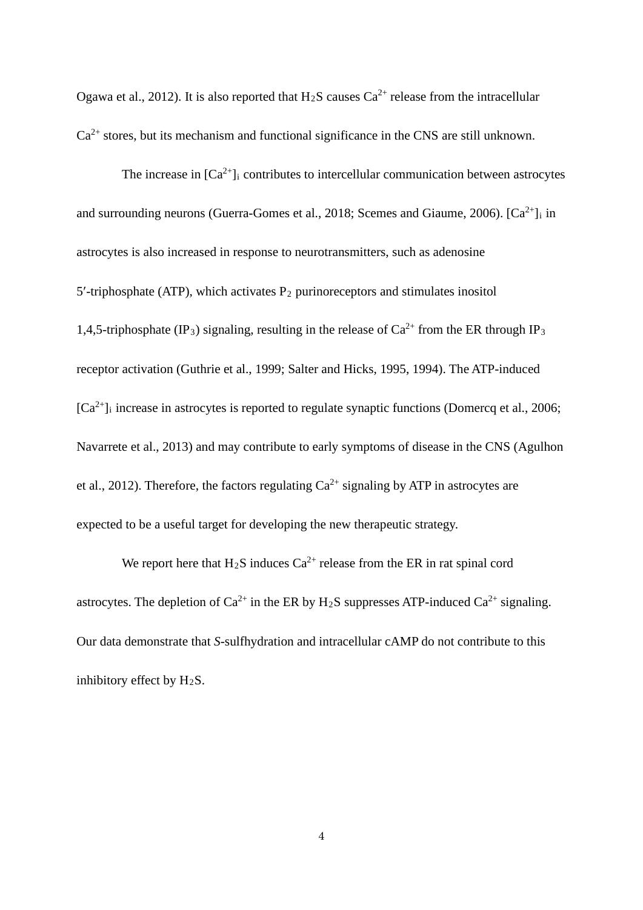Ogawa et al., 2012). It is also reported that  $H_2S$  causes  $Ca^{2+}$  release from the intracellular  $Ca<sup>2+</sup>$  stores, but its mechanism and functional significance in the CNS are still unknown.

The increase in  $[Ca^{2+}]$  contributes to intercellular communication between astrocytes and surrounding neurons (Guerra-Gomes et al., 2018; Scemes and Giaume, 2006).  $[Ca^{2+}]$  in astrocytes is also increased in response to neurotransmitters, such as adenosine 5'-triphosphate (ATP), which activates  $P_2$  purinoreceptors and stimulates inositol 1,4,5-triphosphate (IP<sub>3</sub>) signaling, resulting in the release of  $Ca^{2+}$  from the ER through IP<sub>3</sub> receptor activation (Guthrie et al., 1999; Salter and Hicks, 1995, 1994). The ATP-induced  $[Ca^{2+}]$ <sub>i</sub> increase in astrocytes is reported to regulate synaptic functions (Domercq et al., 2006; Navarrete et al., 2013) and may contribute to early symptoms of disease in the CNS (Agulhon et al., 2012). Therefore, the factors regulating  $Ca^{2+}$  signaling by ATP in astrocytes are expected to be a useful target for developing the new therapeutic strategy.

We report here that  $H_2S$  induces  $Ca^{2+}$  release from the ER in rat spinal cord astrocytes. The depletion of  $Ca^{2+}$  in the ER by H<sub>2</sub>S suppresses ATP-induced  $Ca^{2+}$  signaling. Our data demonstrate that *S*-sulfhydration and intracellular cAMP do not contribute to this inhibitory effect by  $H_2S$ .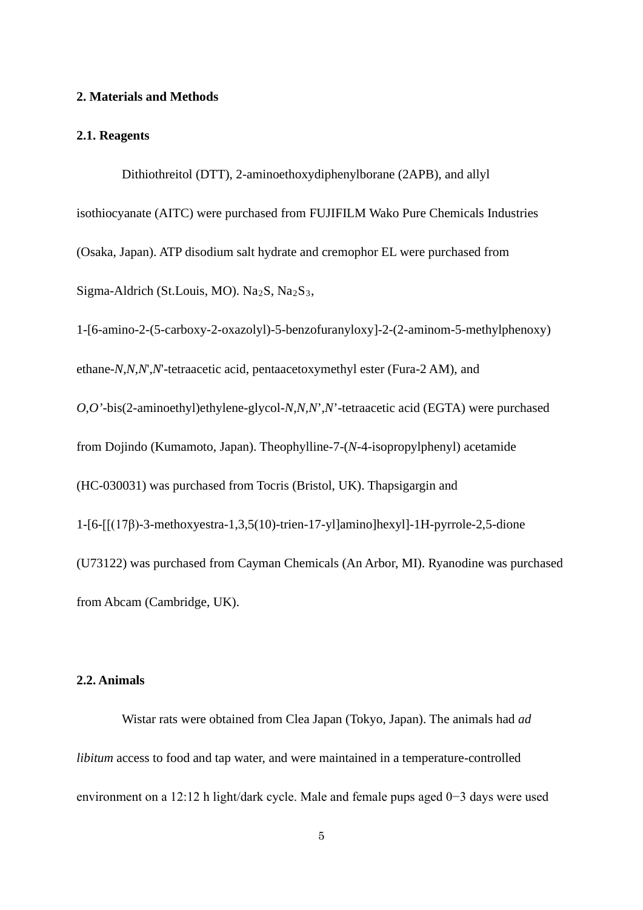#### **2. Materials and Methods**

#### **2.1. Reagents**

Dithiothreitol (DTT), 2-aminoethoxydiphenylborane (2APB), and allyl isothiocyanate (AITC) were purchased from FUJIFILM Wako Pure Chemicals Industries (Osaka, Japan). ATP disodium salt hydrate and cremophor EL were purchased from Sigma-Aldrich (St.Louis, MO). Na<sub>2</sub>S, Na<sub>2</sub>S<sub>3</sub>,

1-[6-amino-2-(5-carboxy-2-oxazolyl)-5-benzofuranyloxy]-2-(2-aminom-5-methylphenoxy) ethane-*N*,*N*,*N*',*N*'-tetraacetic acid, pentaacetoxymethyl ester (Fura-2 AM), and *O*,*O'*-bis(2-aminoethyl)ethylene-glycol-*N*,*N,N*',*N*'-tetraacetic acid (EGTA) were purchased from Dojindo (Kumamoto, Japan). Theophylline-7-(*N*-4-isopropylphenyl) acetamide (HC-030031) was purchased from Tocris (Bristol, UK). Thapsigargin and 1-[6-[[(17β)-3-methoxyestra-1,3,5(10)-trien-17-yl]amino]hexyl]-1H-pyrrole-2,5-dione (U73122) was purchased from Cayman Chemicals (An Arbor, MI). Ryanodine was purchased from Abcam (Cambridge, UK).

#### **2.2. Animals**

Wistar rats were obtained from Clea Japan (Tokyo, Japan). The animals had *ad libitum* access to food and tap water, and were maintained in a temperature-controlled environment on a 12:12 h light/dark cycle. Male and female pups aged 0−3 days were used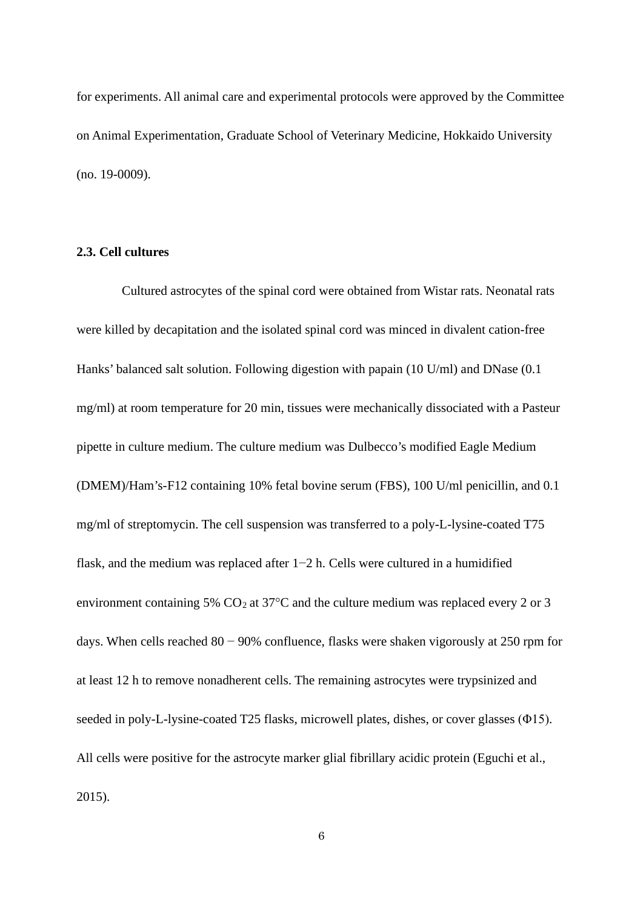for experiments. All animal care and experimental protocols were approved by the Committee on Animal Experimentation, Graduate School of Veterinary Medicine, Hokkaido University (no. 19-0009).

#### **2.3. Cell cultures**

Cultured astrocytes of the spinal cord were obtained from Wistar rats. Neonatal rats were killed by decapitation and the isolated spinal cord was minced in divalent cation-free Hanks' balanced salt solution. Following digestion with papain (10 U/ml) and DNase (0.1 mg/ml) at room temperature for 20 min, tissues were mechanically dissociated with a Pasteur pipette in culture medium. The culture medium was Dulbecco's modified Eagle Medium (DMEM)/Ham's-F12 containing 10% fetal bovine serum (FBS), 100 U/ml penicillin, and 0.1 mg/ml of streptomycin. The cell suspension was transferred to a poly-L-lysine-coated T75 flask, and the medium was replaced after 1−2 h. Cells were cultured in a humidified environment containing 5%  $CO<sub>2</sub>$  at 37 $\degree$ C and the culture medium was replaced every 2 or 3 days. When cells reached 80 − 90% confluence, flasks were shaken vigorously at 250 rpm for at least 12 h to remove nonadherent cells. The remaining astrocytes were trypsinized and seeded in poly-L-lysine-coated T25 flasks, microwell plates, dishes, or cover glasses (Φ15). All cells were positive for the astrocyte marker glial fibrillary acidic protein (Eguchi et al., 2015).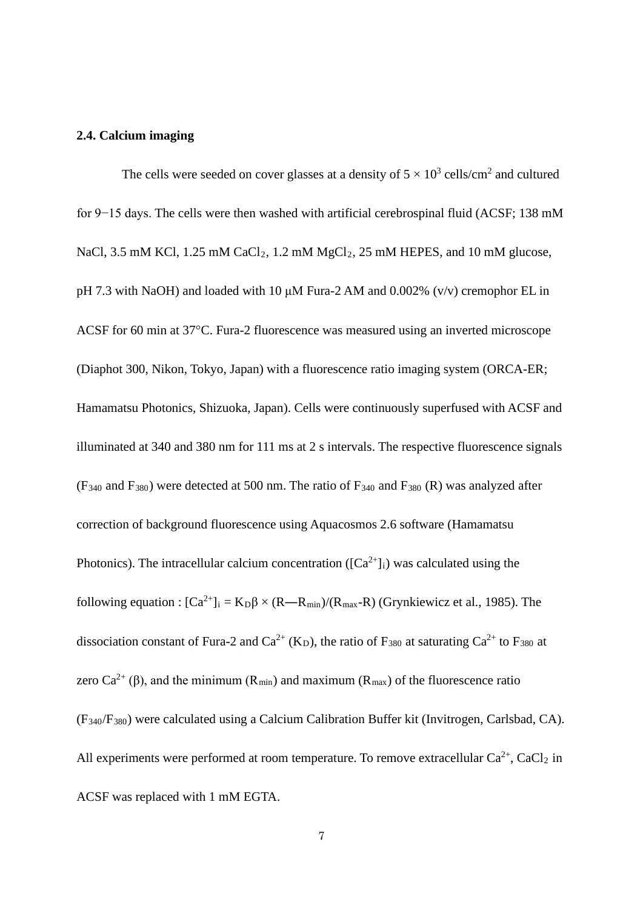#### **2.4. Calcium imaging**

The cells were seeded on cover glasses at a density of  $5 \times 10^3$  cells/cm<sup>2</sup> and cultured for 9−15 days. The cells were then washed with artificial cerebrospinal fluid (ACSF; 138 mM NaCl, 3.5 mM KCl, 1.25 mM  $CaCl<sub>2</sub>$ , 1.2 mM  $MgCl<sub>2</sub>$ , 25 mM HEPES, and 10 mM glucose, pH 7.3 with NaOH) and loaded with 10 μM Fura-2 AM and 0.002% (v/v) cremophor EL in ACSF for 60 min at 37°C. Fura-2 fluorescence was measured using an inverted microscope (Diaphot 300, Nikon, Tokyo, Japan) with a fluorescence ratio imaging system (ORCA-ER; Hamamatsu Photonics, Shizuoka, Japan). Cells were continuously superfused with ACSF and illuminated at 340 and 380 nm for 111 ms at 2 s intervals. The respective fluorescence signals  $(F_{340}$  and  $F_{380})$  were detected at 500 nm. The ratio of  $F_{340}$  and  $F_{380}$  (R) was analyzed after correction of background fluorescence using Aquacosmos 2.6 software (Hamamatsu Photonics). The intracellular calcium concentration ( $[Ca^{2+}]_i$ ) was calculated using the following equation :  $[Ca^{2+}]_i = K_D \beta \times (R - R_{min})/(R_{max}-R)$  (Grynkiewicz et al., 1985). The dissociation constant of Fura-2 and  $Ca^{2+}$  (K<sub>D</sub>), the ratio of F<sub>380</sub> at saturating  $Ca^{2+}$  to F<sub>380</sub> at zero Ca<sup>2+</sup> (β), and the minimum (R<sub>min</sub>) and maximum (R<sub>max</sub>) of the fluorescence ratio (F340/F380) were calculated using a Calcium Calibration Buffer kit (Invitrogen, Carlsbad, CA). All experiments were performed at room temperature. To remove extracellular  $Ca^{2+}$ ,  $CaCl<sub>2</sub>$  in ACSF was replaced with 1 mM EGTA.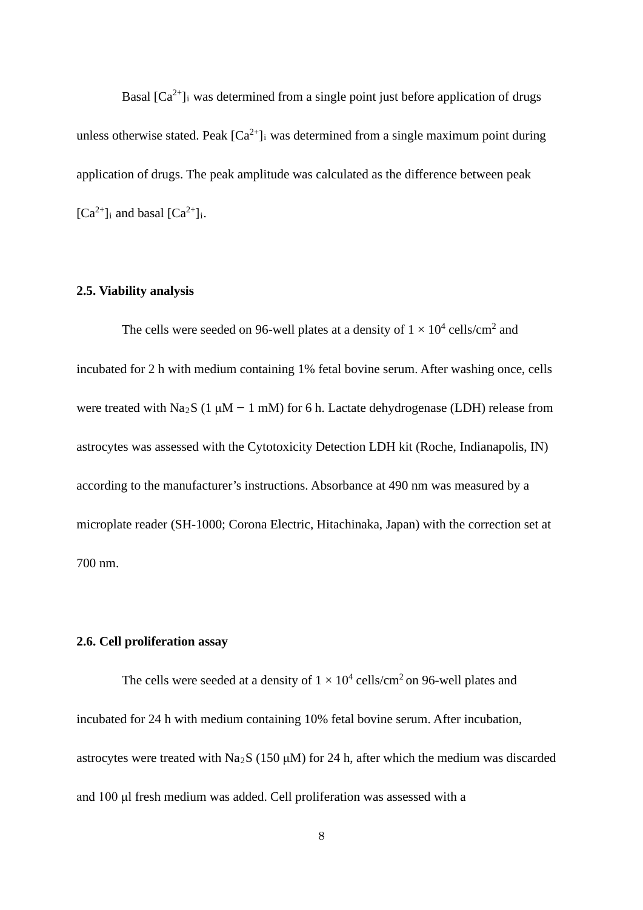Basal  $[Ca^{2+}]$ <sub>i</sub> was determined from a single point just before application of drugs unless otherwise stated. Peak  $[Ca^{2+}]$  was determined from a single maximum point during application of drugs. The peak amplitude was calculated as the difference between peak  $[Ca^{2+}]$ <sub>i</sub> and basal  $[Ca^{2+}]$ <sub>i</sub>.

#### **2.5. Viability analysis**

The cells were seeded on 96-well plates at a density of  $1 \times 10^4$  cells/cm<sup>2</sup> and incubated for 2 h with medium containing 1% fetal bovine serum. After washing once, cells were treated with Na<sub>2</sub>S (1  $\mu$ M – 1 mM) for 6 h. Lactate dehydrogenase (LDH) release from astrocytes was assessed with the Cytotoxicity Detection LDH kit (Roche, Indianapolis, IN) according to the manufacturer's instructions. Absorbance at 490 nm was measured by a microplate reader (SH-1000; Corona Electric, Hitachinaka, Japan) with the correction set at 700 nm.

#### **2.6. Cell proliferation assay**

The cells were seeded at a density of  $1 \times 10^4$  cells/cm<sup>2</sup> on 96-well plates and incubated for 24 h with medium containing 10% fetal bovine serum. After incubation, astrocytes were treated with Na<sub>2</sub>S (150  $\mu$ M) for 24 h, after which the medium was discarded and 100 μl fresh medium was added. Cell proliferation was assessed with a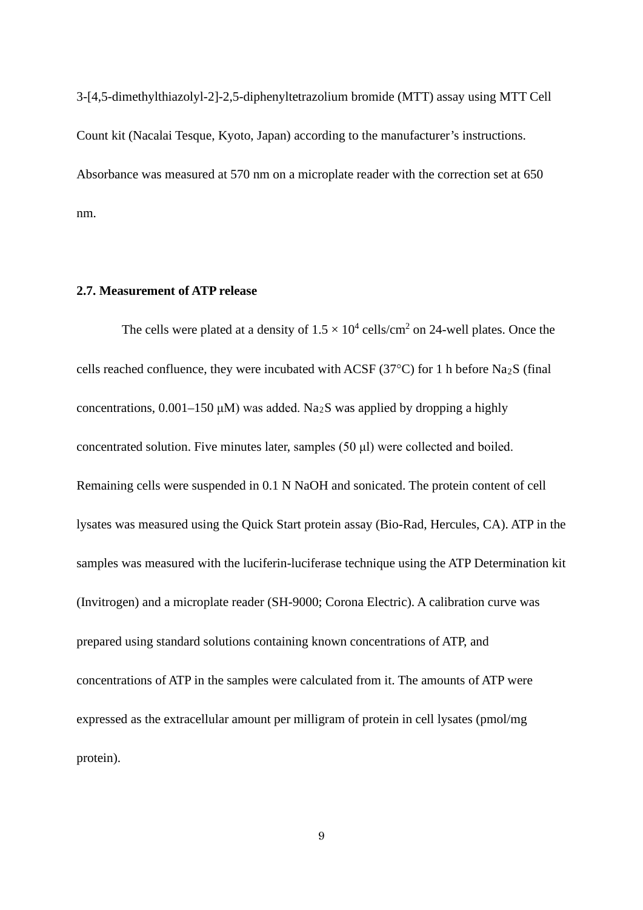3-[4,5-dimethylthiazolyl-2]-2,5-diphenyltetrazolium bromide (MTT) assay using MTT Cell Count kit (Nacalai Tesque, Kyoto, Japan) according to the manufacturer's instructions. Absorbance was measured at 570 nm on a microplate reader with the correction set at 650 nm.

#### **2.7. Measurement of ATP release**

The cells were plated at a density of  $1.5 \times 10^4$  cells/cm<sup>2</sup> on 24-well plates. Once the cells reached confluence, they were incubated with ACSF (37 $^{\circ}$ C) for 1 h before Na<sub>2</sub>S (final concentrations,  $0.001-150 \mu M$ ) was added. Na<sub>2</sub>S was applied by dropping a highly concentrated solution. Five minutes later, samples (50 μl) were collected and boiled. Remaining cells were suspended in 0.1 N NaOH and sonicated. The protein content of cell lysates was measured using the Quick Start protein assay (Bio-Rad, Hercules, CA). ATP in the samples was measured with the luciferin-luciferase technique using the ATP Determination kit (Invitrogen) and a microplate reader (SH-9000; Corona Electric). A calibration curve was prepared using standard solutions containing known concentrations of ATP, and concentrations of ATP in the samples were calculated from it. The amounts of ATP were expressed as the extracellular amount per milligram of protein in cell lysates (pmol/mg protein).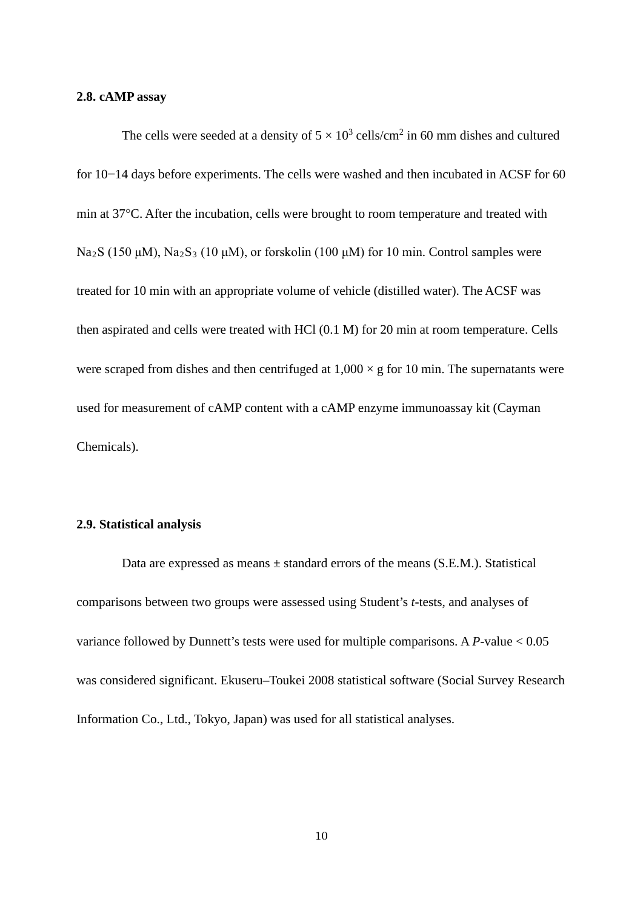#### **2.8. cAMP assay**

The cells were seeded at a density of  $5 \times 10^3$  cells/cm<sup>2</sup> in 60 mm dishes and cultured for 10−14 days before experiments. The cells were washed and then incubated in ACSF for 60 min at 37°C. After the incubation, cells were brought to room temperature and treated with Na<sub>2</sub>S (150 μM), Na<sub>2</sub>S<sub>3</sub> (10 μM), or forskolin (100 μM) for 10 min. Control samples were treated for 10 min with an appropriate volume of vehicle (distilled water). The ACSF was then aspirated and cells were treated with HCl (0.1 M) for 20 min at room temperature. Cells were scraped from dishes and then centrifuged at  $1,000 \times g$  for 10 min. The supernatants were used for measurement of cAMP content with a cAMP enzyme immunoassay kit (Cayman Chemicals).

#### **2.9. Statistical analysis**

Data are expressed as means  $\pm$  standard errors of the means (S.E.M.). Statistical comparisons between two groups were assessed using Student's *t*-tests, and analyses of variance followed by Dunnett's tests were used for multiple comparisons. A *P-*value < 0.05 was considered significant. Ekuseru–Toukei 2008 statistical software (Social Survey Research Information Co., Ltd., Tokyo, Japan) was used for all statistical analyses.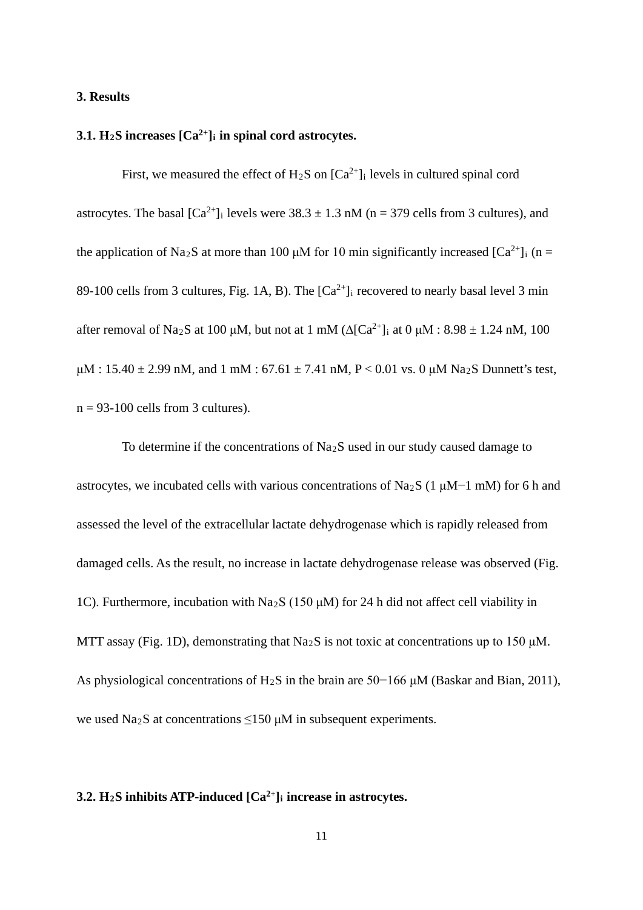#### **3. Results**

#### **3.1. H2S increases [Ca2+]i in spinal cord astrocytes.**

First, we measured the effect of  $H_2S$  on  $[Ca^{2+}]_i$  levels in cultured spinal cord astrocytes. The basal  $\lceil Ca^{2+} \rceil$  levels were  $38.3 \pm 1.3$  nM (n = 379 cells from 3 cultures), and the application of Na<sub>2</sub>S at more than 100  $\mu$ M for 10 min significantly increased [Ca<sup>2+</sup>]<sub>i</sub> (n = 89-100 cells from 3 cultures, Fig. 1A, B). The  $[Ca^{2+}]_i$  recovered to nearly basal level 3 min after removal of Na<sub>2</sub>S at 100 μM, but not at 1 mM ( $\Delta$ [Ca<sup>2+</sup>]<sub>i</sub> at 0 μM : 8.98 ± 1.24 nM, 100  $\mu$ M : 15.40  $\pm$  2.99 nM, and 1 mM : 67.61  $\pm$  7.41 nM, P < 0.01 vs. 0  $\mu$ M Na<sub>2</sub>S Dunnett's test,  $n = 93-100$  cells from 3 cultures).

To determine if the concentrations of Na2S used in our study caused damage to astrocytes, we incubated cells with various concentrations of Na2S (1 μM−1 mM) for 6 h and assessed the level of the extracellular lactate dehydrogenase which is rapidly released from damaged cells. As the result, no increase in lactate dehydrogenase release was observed (Fig. 1C). Furthermore, incubation with Na2S (150 μM) for 24 h did not affect cell viability in MTT assay (Fig. 1D), demonstrating that Na2S is not toxic at concentrations up to 150 μM. As physiological concentrations of H2S in the brain are 50−166 μM (Baskar and Bian, 2011), we used Na<sub>2</sub>S at concentrations  $\leq$ 150 μM in subsequent experiments.

### **3.2. H2S inhibits ATP-induced [Ca2+]i increase in astrocytes.**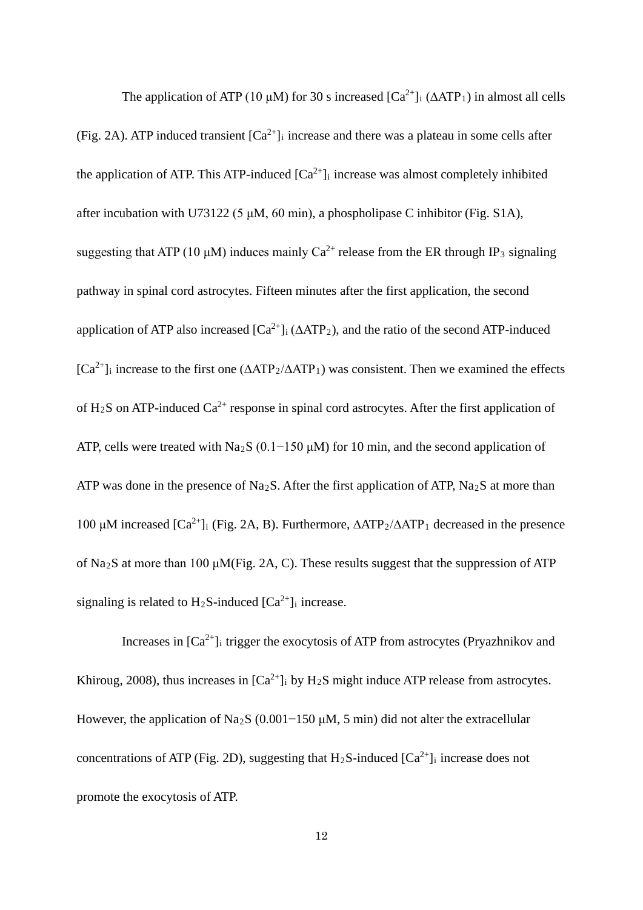The application of ATP (10 μM) for 30 s increased  $[Ca^{2+}]$ <sub>i</sub> ( $\triangle ATP_1$ ) in almost all cells (Fig. 2A). ATP induced transient  $[Ca^{2+}]_i$  increase and there was a plateau in some cells after the application of ATP. This ATP-induced  $[Ca^{2+}]_i$  increase was almost completely inhibited after incubation with U73122 (5  $\mu$ M, 60 min), a phospholipase C inhibitor (Fig. S1A), suggesting that ATP (10 μM) induces mainly  $Ca^{2+}$  release from the ER through IP<sub>3</sub> signaling pathway in spinal cord astrocytes. Fifteen minutes after the first application, the second application of ATP also increased  $[Ca^{2+}]$ <sub>i</sub> ( $\triangle ATP_2$ ), and the ratio of the second ATP-induced  $[Ca<sup>2+</sup>]$ <sub>i</sub> increase to the first one ( $\triangle ATP_2/\triangle ATP_1$ ) was consistent. Then we examined the effects of H<sub>2</sub>S on ATP-induced  $Ca^{2+}$  response in spinal cord astrocytes. After the first application of ATP, cells were treated with Na<sub>2</sub>S (0.1−150  $\mu$ M) for 10 min, and the second application of ATP was done in the presence of Na<sub>2</sub>S. After the first application of ATP, Na<sub>2</sub>S at more than 100 μM increased  $[Ca^{2+}$ ]<sub>i</sub> (Fig. 2A, B). Furthermore,  $\Delta ATP_2/\Delta ATP_1$  decreased in the presence of Na<sub>2</sub>S at more than 100 μM(Fig. 2A, C). These results suggest that the suppression of ATP signaling is related to  $H_2S$ -induced  $[Ca^{2+}]_i$  increase.

Increases in  $[Ca^{2+}]$ <sub>i</sub> trigger the exocytosis of ATP from astrocytes (Pryazhnikov and Khiroug, 2008), thus increases in  $[Ca^{2+}]$ <sub>i</sub> by  $H_2S$  might induce ATP release from astrocytes. However, the application of Na<sub>2</sub>S (0.001−150 μM, 5 min) did not alter the extracellular concentrations of ATP (Fig. 2D), suggesting that  $H_2S$ -induced  $[Ca^{2+}]$  increase does not promote the exocytosis of ATP.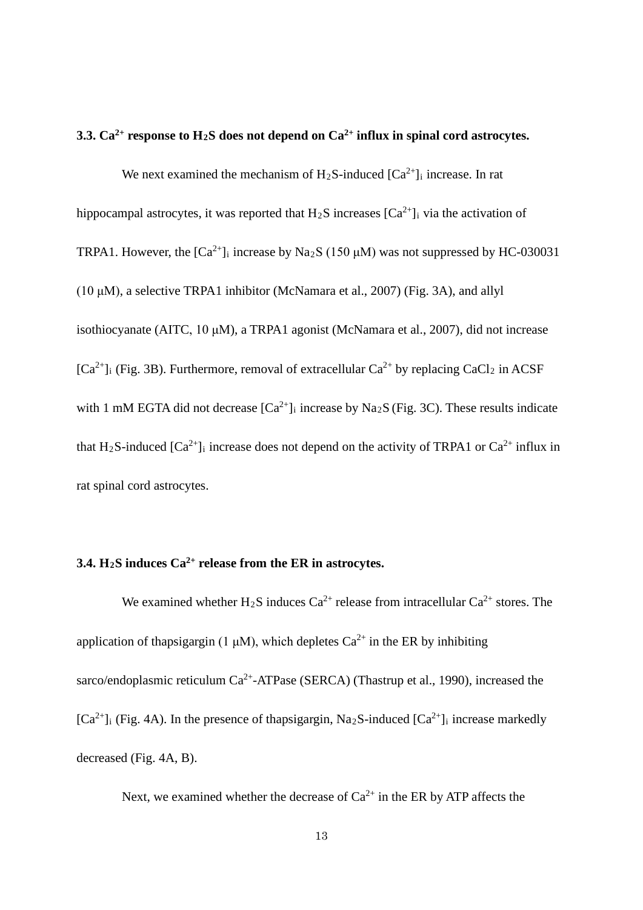#### **3.3. Ca2+ response to H2S does not depend on Ca2+ influx in spinal cord astrocytes.**

We next examined the mechanism of  $H_2S$ -induced  $[Ca^{2+}]_i$  increase. In rat hippocampal astrocytes, it was reported that  $H_2S$  increases  $[Ca^{2+}]_i$  via the activation of TRPA1. However, the  $[Ca^{2+}]$ <sub>i</sub> increase by Na<sub>2</sub>S (150  $\mu$ M) was not suppressed by HC-030031 (10 μM), a selective TRPA1 inhibitor (McNamara et al., 2007) (Fig. 3A), and allyl isothiocyanate (AITC, 10 μM), a TRPA1 agonist (McNamara et al., 2007), did not increase  $[Ca^{2+}]$ <sub>i</sub> (Fig. 3B). Furthermore, removal of extracellular  $Ca^{2+}$  by replacing CaCl<sub>2</sub> in ACSF with 1 mM EGTA did not decrease  $[Ca^{2+}]_i$  increase by Na<sub>2</sub>S (Fig. 3C). These results indicate that H<sub>2</sub>S-induced  $[Ca^{2+}]_i$  increase does not depend on the activity of TRPA1 or  $Ca^{2+}$  influx in rat spinal cord astrocytes.

# **3.4. H2S induces Ca2+ release from the ER in astrocytes.**

We examined whether H<sub>2</sub>S induces  $Ca^{2+}$  release from intracellular  $Ca^{2+}$  stores. The application of thapsigargin (1  $\mu$ M), which depletes Ca<sup>2+</sup> in the ER by inhibiting sarco/endoplasmic reticulum Ca<sup>2+</sup>-ATPase (SERCA) (Thastrup et al., 1990), increased the  $[Ca^{2+}]$ <sub>i</sub> (Fig. 4A). In the presence of thapsigargin, Na<sub>2</sub>S-induced  $[Ca^{2+}]$ <sub>i</sub> increase markedly decreased (Fig. 4A, B).

Next, we examined whether the decrease of  $Ca^{2+}$  in the ER by ATP affects the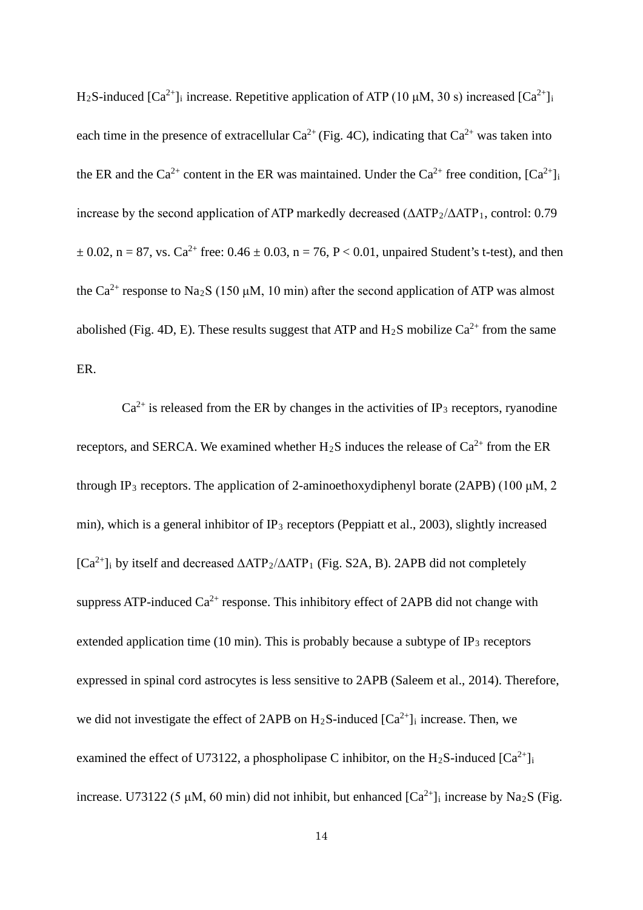H<sub>2</sub>S-induced  $[Ca^{2+}]$ <sub>i</sub> increase. Repetitive application of ATP (10  $\mu$ M, 30 s) increased  $[Ca^{2+}]$ <sub>i</sub> each time in the presence of extracellular  $Ca^{2+}$  (Fig. 4C), indicating that  $Ca^{2+}$  was taken into the ER and the Ca<sup>2+</sup> content in the ER was maintained. Under the Ca<sup>2+</sup> free condition,  $[Ca^{2+}]$ increase by the second application of ATP markedly decreased ( $\triangle$ ATP<sub>2</sub>/ $\triangle$ ATP<sub>1</sub>, control: 0.79  $\pm 0.02$ , n = 87, vs. Ca<sup>2+</sup> free: 0.46  $\pm 0.03$ , n = 76, P < 0.01, unpaired Student's t-test), and then the Ca<sup>2+</sup> response to Na<sub>2</sub>S (150  $\mu$ M, 10 min) after the second application of ATP was almost abolished (Fig. 4D, E). These results suggest that ATP and  $H_2S$  mobilize  $Ca^{2+}$  from the same ER.

 $Ca<sup>2+</sup>$  is released from the ER by changes in the activities of IP<sub>3</sub> receptors, ryanodine receptors, and SERCA. We examined whether  $H_2S$  induces the release of  $Ca^{2+}$  from the ER through IP<sub>3</sub> receptors. The application of 2-aminoethoxydiphenyl borate (2APB) (100  $\mu$ M, 2 min), which is a general inhibitor of  $IP_3$  receptors (Peppiatt et al., 2003), slightly increased  $[Ca^{2+}]$ <sub>i</sub> by itself and decreased  $\triangle ATP_2/\triangle ATP_1$  (Fig. S2A, B). 2APB did not completely suppress ATP-induced  $Ca^{2+}$  response. This inhibitory effect of 2APB did not change with extended application time (10 min). This is probably because a subtype of  $IP_3$  receptors expressed in spinal cord astrocytes is less sensitive to 2APB (Saleem et al., 2014). Therefore, we did not investigate the effect of 2APB on  $H_2S$ -induced  $[Ca^{2+}]_i$  increase. Then, we examined the effect of U73122, a phospholipase C inhibitor, on the H<sub>2</sub>S-induced  $[Ca^{2+}]$ <sub>i</sub> increase. U73122 (5 μM, 60 min) did not inhibit, but enhanced  $[Ca^{2+}]_i$  increase by Na<sub>2</sub>S (Fig.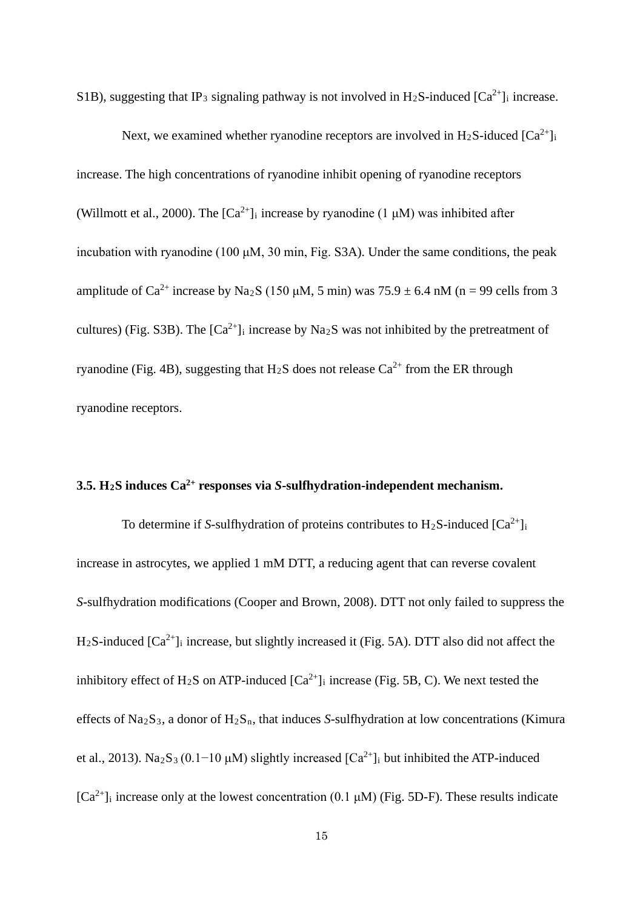S1B), suggesting that IP<sub>3</sub> signaling pathway is not involved in H<sub>2</sub>S-induced  $[Ca^{2+}]$ <sub>i</sub> increase.

Next, we examined whether ryanodine receptors are involved in H<sub>2</sub>S-iduced  $[Ca^{2+}]_i$ increase. The high concentrations of ryanodine inhibit opening of ryanodine receptors (Willmott et al., 2000). The  $[Ca^{2+}]_i$  increase by ryanodine (1  $\mu$ M) was inhibited after incubation with ryanodine (100 μM, 30 min, Fig. S3A). Under the same conditions, the peak amplitude of Ca<sup>2+</sup> increase by Na<sub>2</sub>S (150 µM, 5 min) was  $75.9 \pm 6.4$  nM (n = 99 cells from 3 cultures) (Fig. S3B). The  $[Ca^{2+}]}$  increase by Na<sub>2</sub>S was not inhibited by the pretreatment of ryanodine (Fig. 4B), suggesting that  $H_2S$  does not release  $Ca^{2+}$  from the ER through ryanodine receptors.

## **3.5. H2S induces Ca2+ responses via** *S***-sulfhydration-independent mechanism.**

To determine if *S*-sulfhydration of proteins contributes to  $H_2S$ -induced  $[Ca^{2+}]_i$ increase in astrocytes, we applied 1 mM DTT, a reducing agent that can reverse covalent *S*-sulfhydration modifications (Cooper and Brown, 2008). DTT not only failed to suppress the  $H_2S$ -induced  $[Ca^{2+}]_i$  increase, but slightly increased it (Fig. 5A). DTT also did not affect the inhibitory effect of H<sub>2</sub>S on ATP-induced  $[Ca^{2+}]_i$  increase (Fig. 5B, C). We next tested the effects of  $Na_2S_3$ , a donor of  $H_2S_n$ , that induces *S*-sulfhydration at low concentrations (Kimura et al., 2013). Na<sub>2</sub>S<sub>3</sub> (0.1−10 µM) slightly increased  $[Ca^{2+}]$ <sub>i</sub> but inhibited the ATP-induced  $[Ca^{2+}]$ <sub>i</sub> increase only at the lowest concentration (0.1  $\mu$ M) (Fig. 5D-F). These results indicate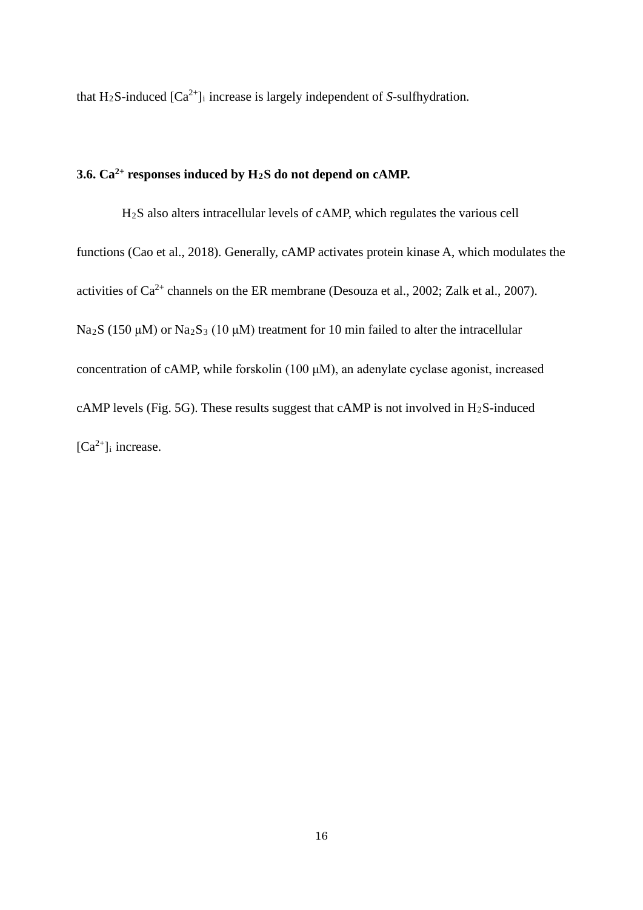that H<sub>2</sub>S-induced  $[Ca^{2+}]$ <sub>i</sub> increase is largely independent of *S*-sulfhydration.

# **3.6. Ca2+ responses induced by H2S do not depend on cAMP.**

H2S also alters intracellular levels of cAMP, which regulates the various cell functions (Cao et al., 2018). Generally, cAMP activates protein kinase A, which modulates the activities of  $Ca^{2+}$  channels on the ER membrane (Desouza et al., 2002; Zalk et al., 2007). Na<sub>2</sub>S (150 μM) or Na<sub>2</sub>S<sub>3</sub> (10 μM) treatment for 10 min failed to alter the intracellular concentration of cAMP, while forskolin (100 μM), an adenylate cyclase agonist, increased cAMP levels (Fig. 5G). These results suggest that cAMP is not involved in  $H_2S$ -induced  $[Ca^{2+}]$ <sub>i</sub> increase.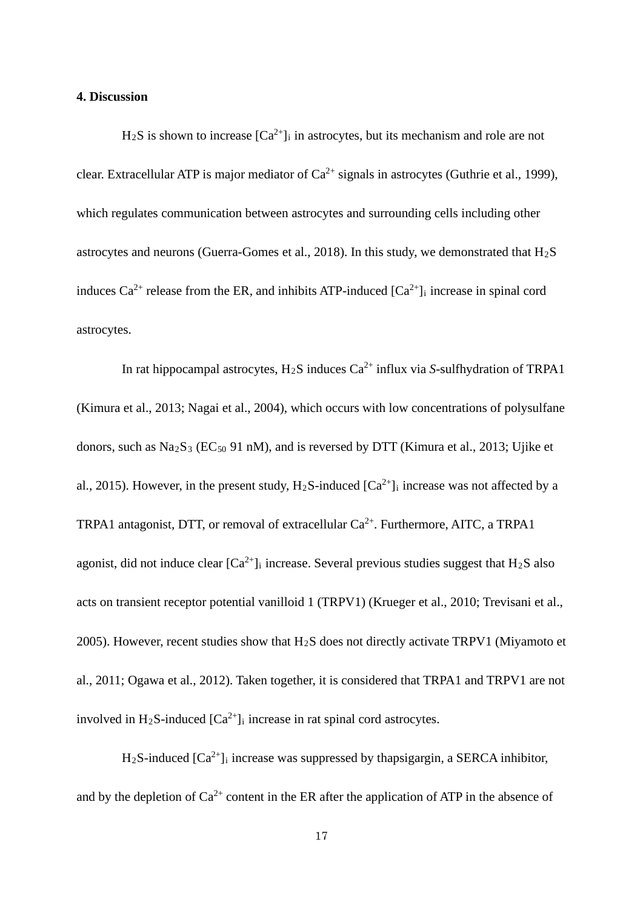#### **4. Discussion**

 $H_2S$  is shown to increase  $[Ca^{2+}]_i$  in astrocytes, but its mechanism and role are not clear. Extracellular ATP is major mediator of  $Ca^{2+}$  signals in astrocytes (Guthrie et al., 1999), which regulates communication between astrocytes and surrounding cells including other astrocytes and neurons (Guerra-Gomes et al., 2018). In this study, we demonstrated that  $H_2S$ induces  $Ca^{2+}$  release from the ER, and inhibits ATP-induced  $[Ca^{2+}]$  increase in spinal cord astrocytes.

In rat hippocampal astrocytes, H2S induces Ca2+ influx via *S*-sulfhydration of TRPA1 (Kimura et al., 2013; Nagai et al., 2004), which occurs with low concentrations of polysulfane donors, such as  $\text{Na}_2\text{S}_3$  (EC<sub>50</sub> 91 nM), and is reversed by DTT (Kimura et al., 2013; Ujike et al., 2015). However, in the present study,  $H_2S$ -induced  $[Ca^{2+}]_i$  increase was not affected by a TRPA1 antagonist, DTT, or removal of extracellular  $Ca^{2+}$ . Furthermore, AITC, a TRPA1 agonist, did not induce clear  $[Ca^{2+}]_i$  increase. Several previous studies suggest that H<sub>2</sub>S also acts on transient receptor potential vanilloid 1 (TRPV1) (Krueger et al., 2010; Trevisani et al., 2005). However, recent studies show that H2S does not directly activate TRPV1 (Miyamoto et al., 2011; Ogawa et al., 2012). Taken together, it is considered that TRPA1 and TRPV1 are not involved in H<sub>2</sub>S-induced  $[Ca^{2+}]_i$  increase in rat spinal cord astrocytes.

 $H_2S$ -induced  $[Ca^{2+}]_i$  increase was suppressed by thapsigargin, a SERCA inhibitor, and by the depletion of  $Ca^{2+}$  content in the ER after the application of ATP in the absence of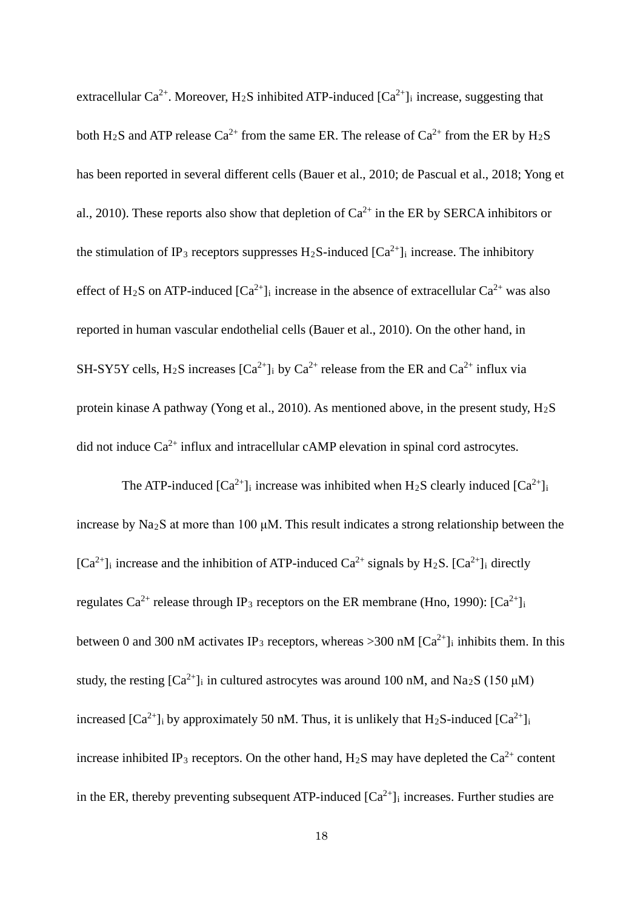extracellular Ca<sup>2+</sup>. Moreover, H<sub>2</sub>S inhibited ATP-induced  $[Ca^{2+}]_i$  increase, suggesting that both H<sub>2</sub>S and ATP release Ca<sup>2+</sup> from the same ER. The release of Ca<sup>2+</sup> from the ER by H<sub>2</sub>S has been reported in several different cells (Bauer et al., 2010; de Pascual et al., 2018; Yong et al., 2010). These reports also show that depletion of  $Ca^{2+}$  in the ER by SERCA inhibitors or the stimulation of IP<sub>3</sub> receptors suppresses H<sub>2</sub>S-induced  $[Ca^{2+}]$ <sub>i</sub> increase. The inhibitory effect of H<sub>2</sub>S on ATP-induced  $[Ca^{2+}]$ <sub>i</sub> increase in the absence of extracellular  $Ca^{2+}$  was also reported in human vascular endothelial cells (Bauer et al., 2010). On the other hand, in SH-SY5Y cells, H<sub>2</sub>S increases  $[Ca^{2+}]$ <sub>i</sub> by  $Ca^{2+}$  release from the ER and  $Ca^{2+}$  influx via protein kinase A pathway (Yong et al., 2010). As mentioned above, in the present study, H2S did not induce  $Ca^{2+}$  influx and intracellular cAMP elevation in spinal cord astrocytes.

The ATP-induced  $[Ca^{2+}]$ <sub>i</sub> increase was inhibited when H<sub>2</sub>S clearly induced  $[Ca^{2+}]$ <sub>i</sub> increase by  $\text{Na}_2\text{S}$  at more than 100  $\mu$ M. This result indicates a strong relationship between the  $[Ca^{2+}]$ <sub>i</sub> increase and the inhibition of ATP-induced  $Ca^{2+}$  signals by H<sub>2</sub>S.  $[Ca^{2+}]$ <sub>i</sub> directly regulates Ca<sup>2+</sup> release through IP<sub>3</sub> receptors on the ER membrane (Hno, 1990):  $[Ca^{2+}]$ <sub>i</sub> between 0 and 300 nM activates IP<sub>3</sub> receptors, whereas >300 nM  $[Ca^{2+}]$ <sub>i</sub> inhibits them. In this study, the resting  $[Ca^{2+}]$ <sub>i</sub> in cultured astrocytes was around 100 nM, and Na<sub>2</sub>S (150  $\mu$ M) increased  $[Ca^{2+}]$ <sub>i</sub> by approximately 50 nM. Thus, it is unlikely that  $H_2S$ -induced  $[Ca^{2+}]$ <sub>i</sub> increase inhibited IP<sub>3</sub> receptors. On the other hand, H<sub>2</sub>S may have depleted the Ca<sup>2+</sup> content in the ER, thereby preventing subsequent ATP-induced  $[Ca^{2+}]$  increases. Further studies are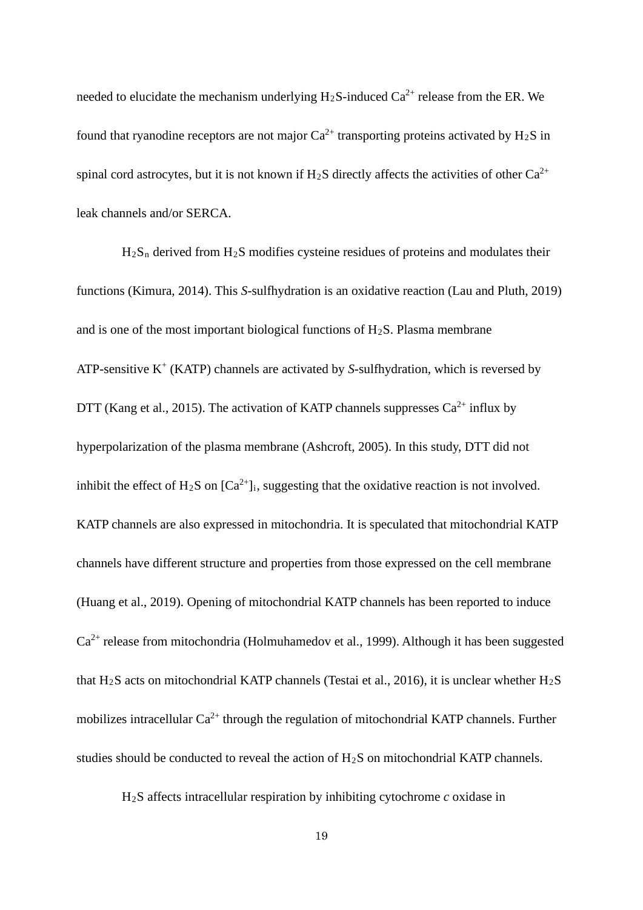needed to elucidate the mechanism underlying  $H_2S$ -induced  $Ca^{2+}$  release from the ER. We found that ryanodine receptors are not major  $Ca^{2+}$  transporting proteins activated by H<sub>2</sub>S in spinal cord astrocytes, but it is not known if H<sub>2</sub>S directly affects the activities of other  $Ca^{2+}$ leak channels and/or SERCA.

 $H_2S_n$  derived from  $H_2S$  modifies cysteine residues of proteins and modulates their functions (Kimura, 2014). This *S*-sulfhydration is an oxidative reaction (Lau and Pluth, 2019) and is one of the most important biological functions of  $H_2S$ . Plasma membrane ATP-sensitive  $K^+$  (KATP) channels are activated by *S*-sulfhydration, which is reversed by DTT (Kang et al., 2015). The activation of KATP channels suppresses  $Ca^{2+}$  influx by hyperpolarization of the plasma membrane (Ashcroft, 2005). In this study, DTT did not inhibit the effect of H<sub>2</sub>S on  $[Ca^{2+}]_i$ , suggesting that the oxidative reaction is not involved. KATP channels are also expressed in mitochondria. It is speculated that mitochondrial KATP channels have different structure and properties from those expressed on the cell membrane (Huang et al., 2019). Opening of mitochondrial KATP channels has been reported to induce Ca2+ release from mitochondria (Holmuhamedov et al., 1999). Although it has been suggested that H<sub>2</sub>S acts on mitochondrial KATP channels (Testai et al., 2016), it is unclear whether H<sub>2</sub>S mobilizes intracellular  $Ca^{2+}$  through the regulation of mitochondrial KATP channels. Further studies should be conducted to reveal the action of  $H_2S$  on mitochondrial KATP channels.

H2S affects intracellular respiration by inhibiting cytochrome *c* oxidase in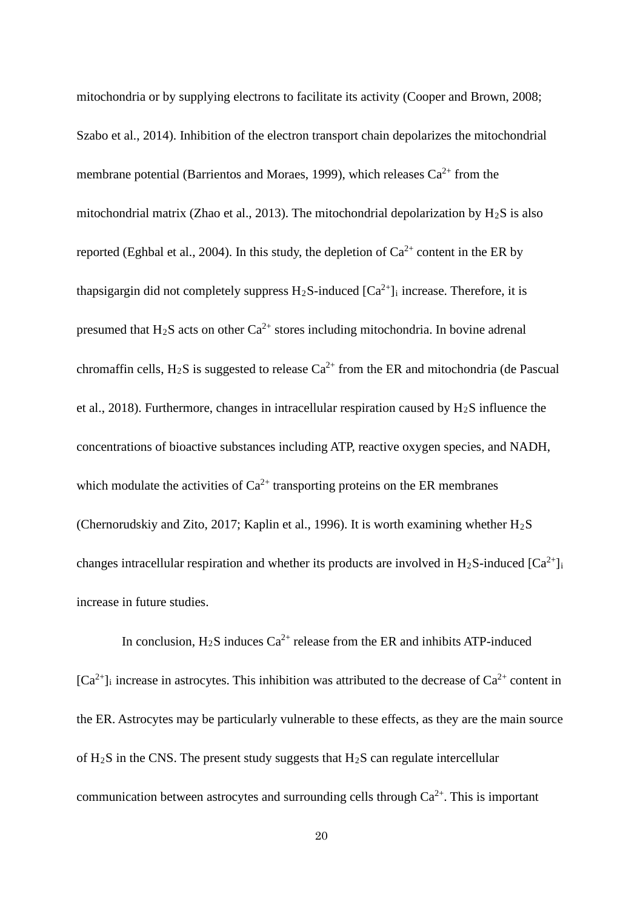mitochondria or by supplying electrons to facilitate its activity (Cooper and Brown, 2008; Szabo et al., 2014). Inhibition of the electron transport chain depolarizes the mitochondrial membrane potential (Barrientos and Moraes, 1999), which releases  $Ca^{2+}$  from the mitochondrial matrix (Zhao et al., 2013). The mitochondrial depolarization by  $H_2S$  is also reported (Eghbal et al., 2004). In this study, the depletion of  $Ca^{2+}$  content in the ER by thapsigargin did not completely suppress  $H_2S$ -induced  $[Ca^{2+}]_i$  increase. Therefore, it is presumed that  $H_2S$  acts on other  $Ca^{2+}$  stores including mitochondria. In bovine adrenal chromaffin cells, H<sub>2</sub>S is suggested to release  $Ca^{2+}$  from the ER and mitochondria (de Pascual et al., 2018). Furthermore, changes in intracellular respiration caused by  $H_2S$  influence the concentrations of bioactive substances including ATP, reactive oxygen species, and NADH, which modulate the activities of  $Ca^{2+}$  transporting proteins on the ER membranes (Chernorudskiy and Zito, 2017; Kaplin et al., 1996). It is worth examining whether  $H_2S$ changes intracellular respiration and whether its products are involved in H<sub>2</sub>S-induced  $[Ca^{2+}]$ <sub>i</sub> increase in future studies.

In conclusion,  $H_2S$  induces  $Ca^{2+}$  release from the ER and inhibits ATP-induced  $[Ca^{2+}]$ <sub>i</sub> increase in astrocytes. This inhibition was attributed to the decrease of  $Ca^{2+}$  content in the ER. Astrocytes may be particularly vulnerable to these effects, as they are the main source of  $H_2S$  in the CNS. The present study suggests that  $H_2S$  can regulate intercellular communication between astrocytes and surrounding cells through  $Ca^{2+}$ . This is important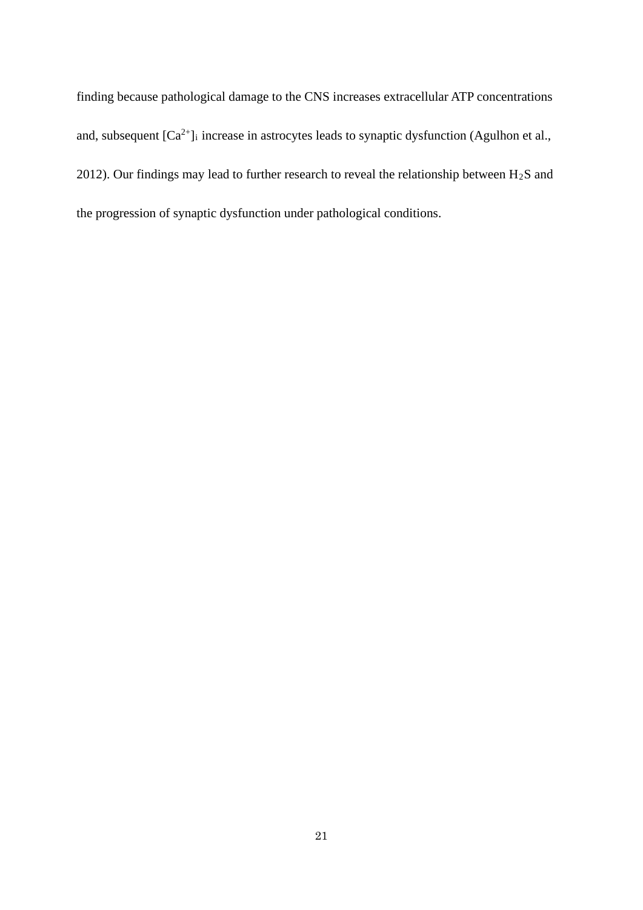finding because pathological damage to the CNS increases extracellular ATP concentrations and, subsequent  $[Ca^{2+}]_i$  increase in astrocytes leads to synaptic dysfunction (Agulhon et al., 2012). Our findings may lead to further research to reveal the relationship between  $H_2S$  and the progression of synaptic dysfunction under pathological conditions.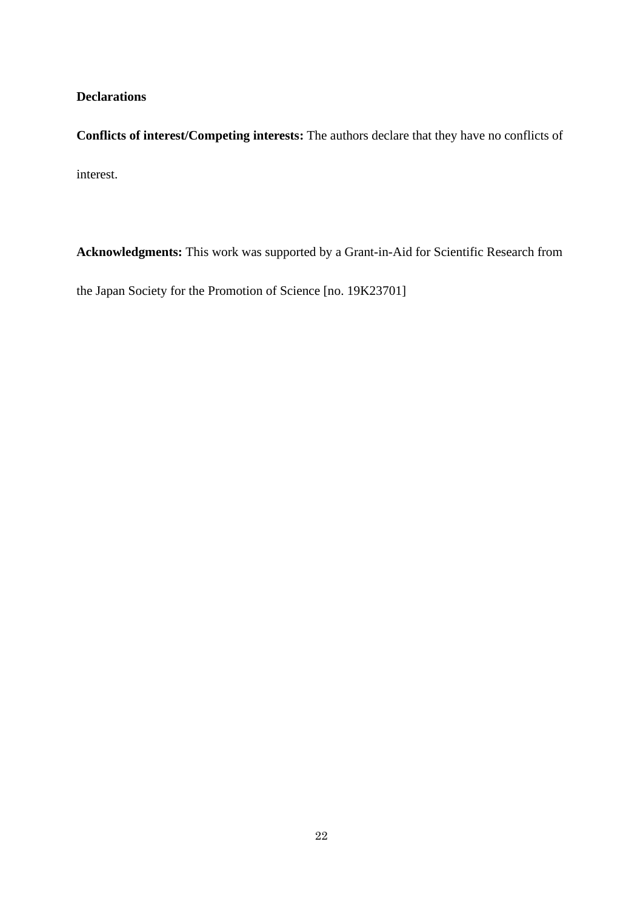## **Declarations**

**Conflicts of interest/Competing interests:** The authors declare that they have no conflicts of interest.

**Acknowledgments:** This work was supported by a Grant-in-Aid for Scientific Research from

the Japan Society for the Promotion of Science [no. 19K23701]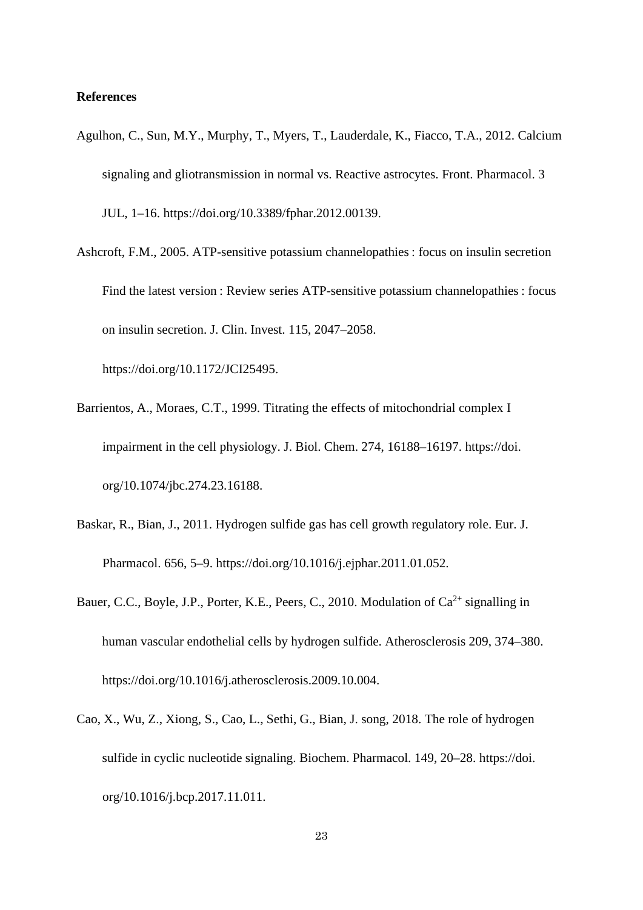#### **References**

- Agulhon, C., Sun, M.Y., Murphy, T., Myers, T., Lauderdale, K., Fiacco, T.A., 2012. Calcium signaling and gliotransmission in normal vs. Reactive astrocytes. Front. Pharmacol. 3 JUL, 1–16. https://doi.org/10.3389/fphar.2012.00139.
- Ashcroft, F.M., 2005. ATP-sensitive potassium channelopathies : focus on insulin secretion Find the latest version : Review series ATP-sensitive potassium channelopathies : focus on insulin secretion. J. Clin. Invest. 115, 2047–2058.

https://doi.org/10.1172/JCI25495.

- Barrientos, A., Moraes, C.T., 1999. Titrating the effects of mitochondrial complex I impairment in the cell physiology. J. Biol. Chem. 274, 16188–16197. https://doi. org/10.1074/jbc.274.23.16188.
- Baskar, R., Bian, J., 2011. Hydrogen sulfide gas has cell growth regulatory role. Eur. J. Pharmacol. 656, 5–9. https://doi.org/10.1016/j.ejphar.2011.01.052.
- Bauer, C.C., Boyle, J.P., Porter, K.E., Peers, C., 2010. Modulation of  $Ca^{2+}$  signalling in human vascular endothelial cells by hydrogen sulfide. Atherosclerosis 209, 374–380. https://doi.org/10.1016/j.atherosclerosis.2009.10.004.
- Cao, X., Wu, Z., Xiong, S., Cao, L., Sethi, G., Bian, J. song, 2018. The role of hydrogen sulfide in cyclic nucleotide signaling. Biochem. Pharmacol. 149, 20–28. https://doi. org/10.1016/j.bcp.2017.11.011.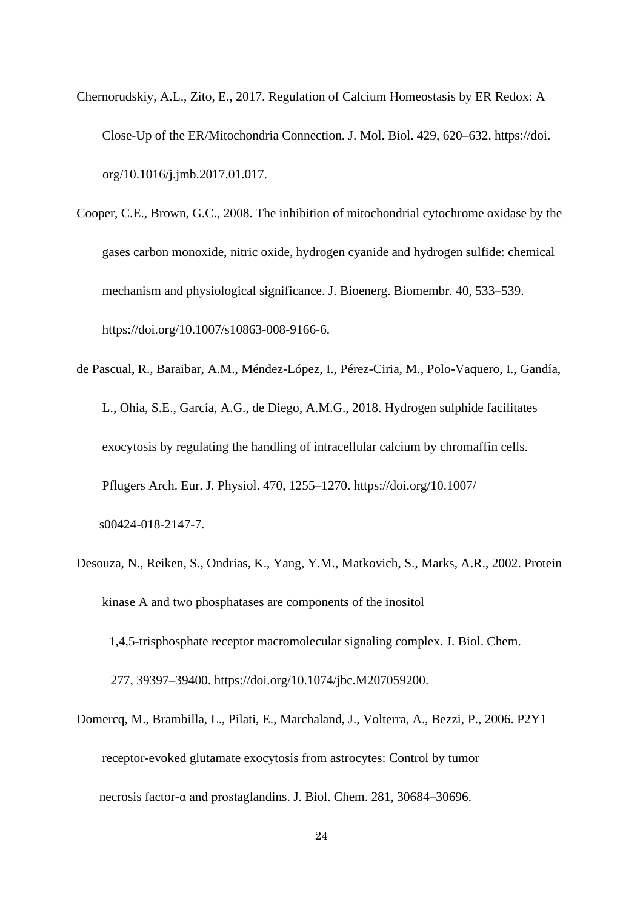- Chernorudskiy, A.L., Zito, E., 2017. Regulation of Calcium Homeostasis by ER Redox: A Close-Up of the ER/Mitochondria Connection. J. Mol. Biol. 429, 620–632. https://doi. org/10.1016/j.jmb.2017.01.017.
- Cooper, C.E., Brown, G.C., 2008. The inhibition of mitochondrial cytochrome oxidase by the gases carbon monoxide, nitric oxide, hydrogen cyanide and hydrogen sulfide: chemical mechanism and physiological significance. J. Bioenerg. Biomembr. 40, 533–539. https://doi.org/10.1007/s10863-008-9166-6.
- de Pascual, R., Baraibar, A.M., Méndez-López, I., Pérez-Ciria, M., Polo-Vaquero, I., Gandía, L., Ohia, S.E., García, A.G., de Diego, A.M.G., 2018. Hydrogen sulphide facilitates exocytosis by regulating the handling of intracellular calcium by chromaffin cells. Pflugers Arch. Eur. J. Physiol. 470, 1255–1270. https://doi.org/10.1007/ s00424-018-2147-7.
- Desouza, N., Reiken, S., Ondrias, K., Yang, Y.M., Matkovich, S., Marks, A.R., 2002. Protein kinase A and two phosphatases are components of the inositol 1,4,5-trisphosphate receptor macromolecular signaling complex. J. Biol. Chem. 277, 39397–39400. https://doi.org/10.1074/jbc.M207059200.
- Domercq, M., Brambilla, L., Pilati, E., Marchaland, J., Volterra, A., Bezzi, P., 2006. P2Y1 receptor-evoked glutamate exocytosis from astrocytes: Control by tumor necrosis factor-α and prostaglandins. J. Biol. Chem. 281, 30684–30696.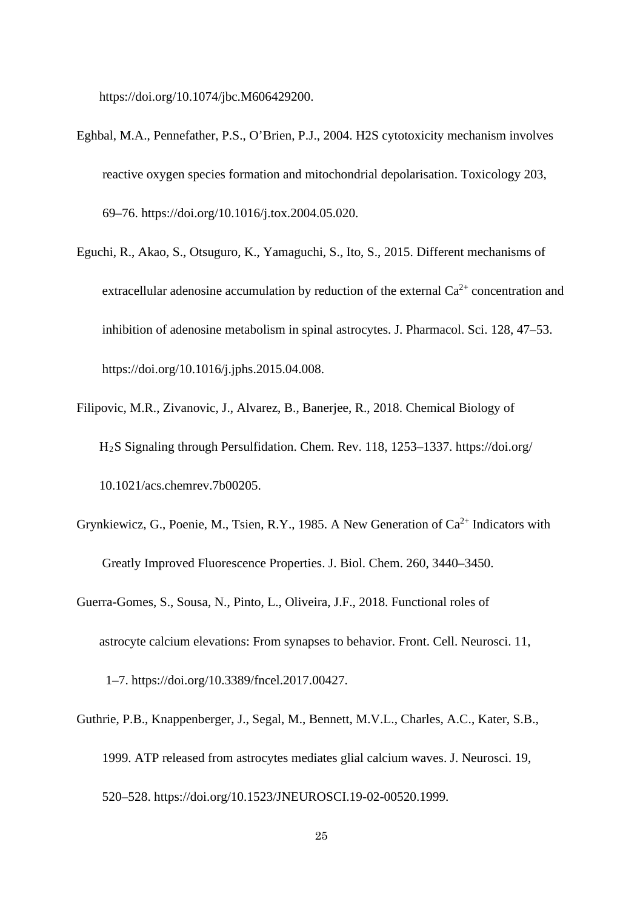https://doi.org/10.1074/jbc.M606429200.

- Eghbal, M.A., Pennefather, P.S., O'Brien, P.J., 2004. H2S cytotoxicity mechanism involves reactive oxygen species formation and mitochondrial depolarisation. Toxicology 203, 69–76. https://doi.org/10.1016/j.tox.2004.05.020.
- Eguchi, R., Akao, S., Otsuguro, K., Yamaguchi, S., Ito, S., 2015. Different mechanisms of extracellular adenosine accumulation by reduction of the external  $Ca^{2+}$  concentration and inhibition of adenosine metabolism in spinal astrocytes. J. Pharmacol. Sci. 128, 47–53. https://doi.org/10.1016/j.jphs.2015.04.008.
- Filipovic, M.R., Zivanovic, J., Alvarez, B., Banerjee, R., 2018. Chemical Biology of H2S Signaling through Persulfidation. Chem. Rev. 118, 1253–1337. https://doi.org/ 10.1021/acs.chemrev.7b00205.
- Grynkiewicz, G., Poenie, M., Tsien, R.Y., 1985. A New Generation of  $Ca^{2+}$  Indicators with Greatly Improved Fluorescence Properties. J. Biol. Chem. 260, 3440–3450.
- Guerra-Gomes, S., Sousa, N., Pinto, L., Oliveira, J.F., 2018. Functional roles of astrocyte calcium elevations: From synapses to behavior. Front. Cell. Neurosci. 11, 1–7. https://doi.org/10.3389/fncel.2017.00427.
- Guthrie, P.B., Knappenberger, J., Segal, M., Bennett, M.V.L., Charles, A.C., Kater, S.B., 1999. ATP released from astrocytes mediates glial calcium waves. J. Neurosci. 19, 520–528. https://doi.org/10.1523/JNEUROSCI.19-02-00520.1999.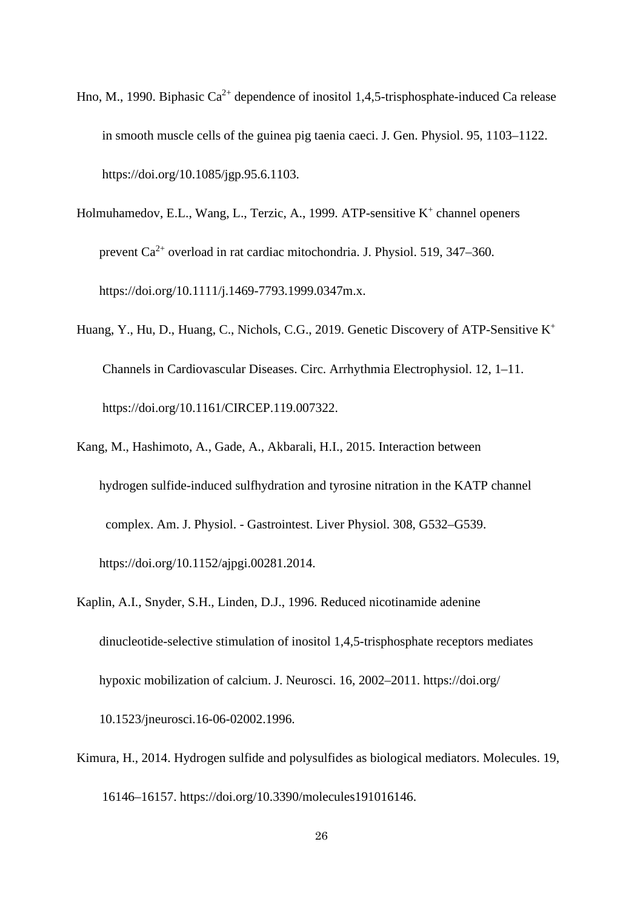- Hno, M., 1990. Biphasic  $Ca^{2+}$  dependence of inositol 1.4.5-trisphosphate-induced Ca release in smooth muscle cells of the guinea pig taenia caeci. J. Gen. Physiol. 95, 1103–1122. https://doi.org/10.1085/jgp.95.6.1103.
- Holmuhamedov, E.L., Wang, L., Terzic, A., 1999. ATP-sensitive  $K^+$  channel openers prevent  $Ca^{2+}$  overload in rat cardiac mitochondria. J. Physiol. 519, 347–360. https://doi.org/10.1111/j.1469-7793.1999.0347m.x.
- Huang, Y., Hu, D., Huang, C., Nichols, C.G., 2019. Genetic Discovery of ATP-Sensitive K+ Channels in Cardiovascular Diseases. Circ. Arrhythmia Electrophysiol. 12, 1–11. https://doi.org/10.1161/CIRCEP.119.007322.
- Kang, M., Hashimoto, A., Gade, A., Akbarali, H.I., 2015. Interaction between hydrogen sulfide-induced sulfhydration and tyrosine nitration in the KATP channel complex. Am. J. Physiol. - Gastrointest. Liver Physiol. 308, G532–G539. https://doi.org/10.1152/ajpgi.00281.2014.
- Kaplin, A.I., Snyder, S.H., Linden, D.J., 1996. Reduced nicotinamide adenine dinucleotide-selective stimulation of inositol 1,4,5-trisphosphate receptors mediates hypoxic mobilization of calcium. J. Neurosci. 16, 2002–2011. https://doi.org/ 10.1523/jneurosci.16-06-02002.1996.
- Kimura, H., 2014. Hydrogen sulfide and polysulfides as biological mediators. Molecules. 19, 16146–16157. https://doi.org/10.3390/molecules191016146.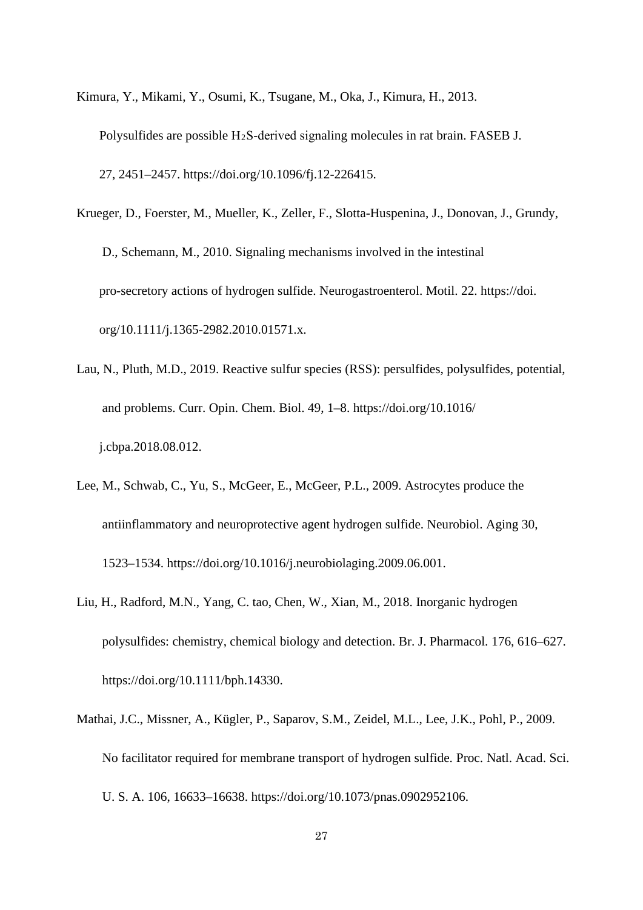- Kimura, Y., Mikami, Y., Osumi, K., Tsugane, M., Oka, J., Kimura, H., 2013. Polysulfides are possible  $H_2S$ -derived signaling molecules in rat brain. FASEB J. 27, 2451–2457. https://doi.org/10.1096/fj.12-226415.
- Krueger, D., Foerster, M., Mueller, K., Zeller, F., Slotta-Huspenina, J., Donovan, J., Grundy, D., Schemann, M., 2010. Signaling mechanisms involved in the intestinal pro-secretory actions of hydrogen sulfide. Neurogastroenterol. Motil. 22. https://doi. org/10.1111/j.1365-2982.2010.01571.x.
- Lau, N., Pluth, M.D., 2019. Reactive sulfur species (RSS): persulfides, polysulfides, potential, and problems. Curr. Opin. Chem. Biol. 49, 1–8. https://doi.org/10.1016/ j.cbpa.2018.08.012.
- Lee, M., Schwab, C., Yu, S., McGeer, E., McGeer, P.L., 2009. Astrocytes produce the antiinflammatory and neuroprotective agent hydrogen sulfide. Neurobiol. Aging 30, 1523–1534. https://doi.org/10.1016/j.neurobiolaging.2009.06.001.
- Liu, H., Radford, M.N., Yang, C. tao, Chen, W., Xian, M., 2018. Inorganic hydrogen polysulfides: chemistry, chemical biology and detection. Br. J. Pharmacol. 176, 616–627. https://doi.org/10.1111/bph.14330.
- Mathai, J.C., Missner, A., Kügler, P., Saparov, S.M., Zeidel, M.L., Lee, J.K., Pohl, P., 2009. No facilitator required for membrane transport of hydrogen sulfide. Proc. Natl. Acad. Sci. U. S. A. 106, 16633–16638. https://doi.org/10.1073/pnas.0902952106.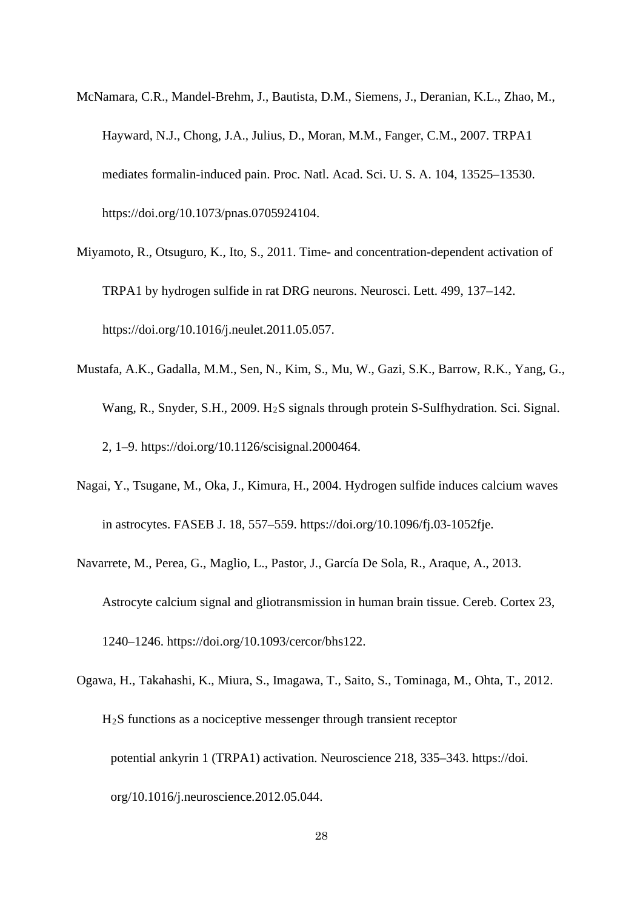- McNamara, C.R., Mandel-Brehm, J., Bautista, D.M., Siemens, J., Deranian, K.L., Zhao, M., Hayward, N.J., Chong, J.A., Julius, D., Moran, M.M., Fanger, C.M., 2007. TRPA1 mediates formalin-induced pain. Proc. Natl. Acad. Sci. U. S. A. 104, 13525–13530. https://doi.org/10.1073/pnas.0705924104.
- Miyamoto, R., Otsuguro, K., Ito, S., 2011. Time- and concentration-dependent activation of TRPA1 by hydrogen sulfide in rat DRG neurons. Neurosci. Lett. 499, 137–142. https://doi.org/10.1016/j.neulet.2011.05.057.
- Mustafa, A.K., Gadalla, M.M., Sen, N., Kim, S., Mu, W., Gazi, S.K., Barrow, R.K., Yang, G., Wang, R., Snyder, S.H., 2009. H2S signals through protein S-Sulfhydration. Sci. Signal. 2, 1–9. https://doi.org/10.1126/scisignal.2000464.
- Nagai, Y., Tsugane, M., Oka, J., Kimura, H., 2004. Hydrogen sulfide induces calcium waves in astrocytes. FASEB J. 18, 557–559. https://doi.org/10.1096/fj.03-1052fje.
- Navarrete, M., Perea, G., Maglio, L., Pastor, J., García De Sola, R., Araque, A., 2013. Astrocyte calcium signal and gliotransmission in human brain tissue. Cereb. Cortex 23, 1240–1246. https://doi.org/10.1093/cercor/bhs122.
- Ogawa, H., Takahashi, K., Miura, S., Imagawa, T., Saito, S., Tominaga, M., Ohta, T., 2012. H2S functions as a nociceptive messenger through transient receptor potential ankyrin 1 (TRPA1) activation. Neuroscience 218, 335–343. https://doi. org/10.1016/j.neuroscience.2012.05.044.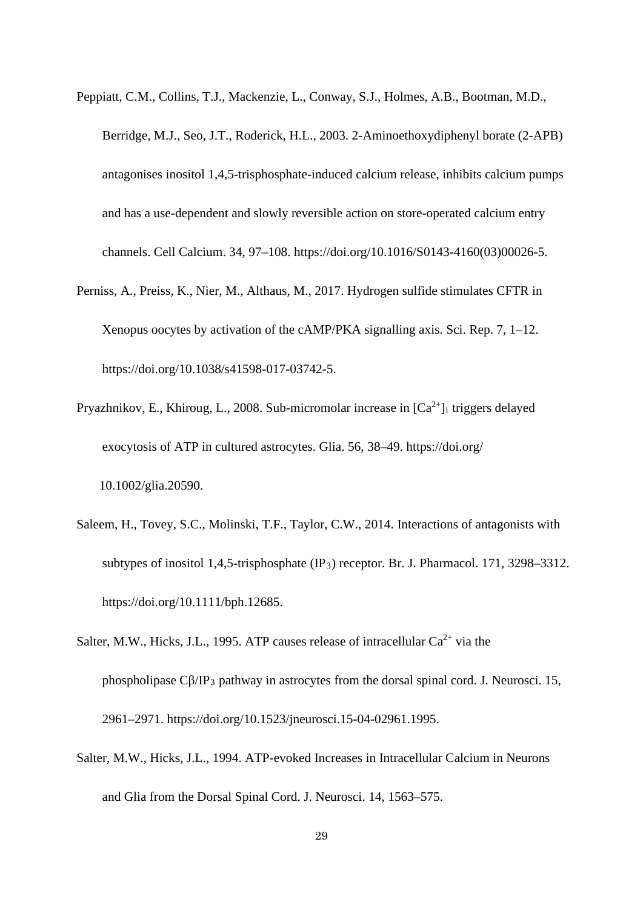Peppiatt, C.M., Collins, T.J., Mackenzie, L., Conway, S.J., Holmes, A.B., Bootman, M.D., Berridge, M.J., Seo, J.T., Roderick, H.L., 2003. 2-Aminoethoxydiphenyl borate (2-APB) antagonises inositol 1,4,5-trisphosphate-induced calcium release, inhibits calcium pumps and has a use-dependent and slowly reversible action on store-operated calcium entry channels. Cell Calcium. 34, 97–108. https://doi.org/10.1016/S0143-4160(03)00026-5.

- Perniss, A., Preiss, K., Nier, M., Althaus, M., 2017. Hydrogen sulfide stimulates CFTR in Xenopus oocytes by activation of the cAMP/PKA signalling axis. Sci. Rep. 7, 1–12. https://doi.org/10.1038/s41598-017-03742-5.
- Pryazhnikov, E., Khiroug, L., 2008. Sub-micromolar increase in  $[Ca^{2+}]$ <sub>i</sub> triggers delayed exocytosis of ATP in cultured astrocytes. Glia. 56, 38–49. https://doi.org/ 10.1002/glia.20590.
- Saleem, H., Tovey, S.C., Molinski, T.F., Taylor, C.W., 2014. Interactions of antagonists with subtypes of inositol 1,4,5-trisphosphate  $(\text{IP}_3)$  receptor. Br. J. Pharmacol. 171, 3298–3312. https://doi.org/10.1111/bph.12685.
- Salter, M.W., Hicks, J.L., 1995. ATP causes release of intracellular  $Ca^{2+}$  via the phospholipase Cβ/IP3 pathway in astrocytes from the dorsal spinal cord. J. Neurosci. 15, 2961–2971. https://doi.org/10.1523/jneurosci.15-04-02961.1995.
- Salter, M.W., Hicks, J.L., 1994. ATP-evoked Increases in Intracellular Calcium in Neurons and Glia from the Dorsal Spinal Cord. J. Neurosci. 14, 1563–575.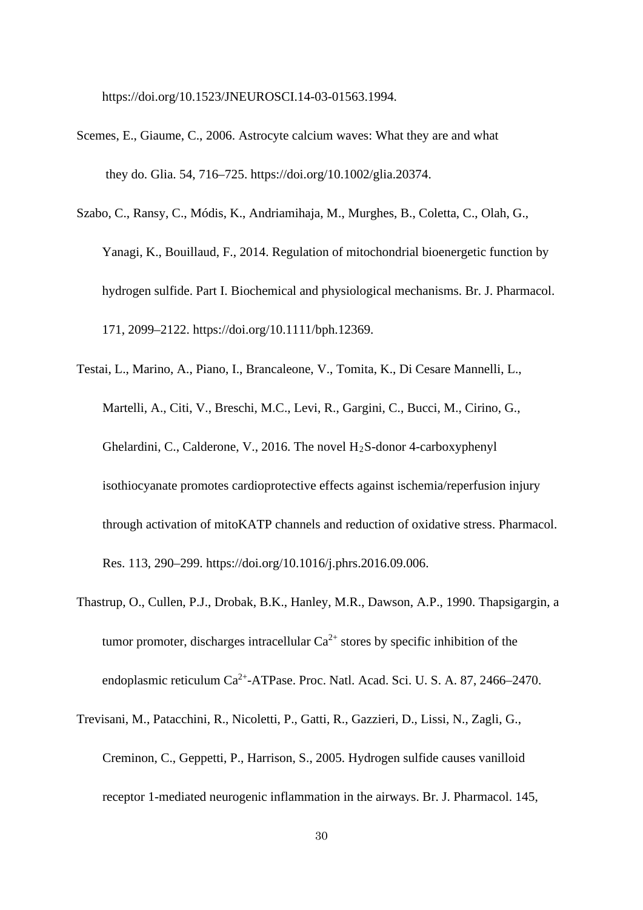https://doi.org/10.1523/JNEUROSCI.14-03-01563.1994.

- Scemes, E., Giaume, C., 2006. Astrocyte calcium waves: What they are and what they do. Glia. 54, 716–725. https://doi.org/10.1002/glia.20374.
- Szabo, C., Ransy, C., Módis, K., Andriamihaja, M., Murghes, B., Coletta, C., Olah, G., Yanagi, K., Bouillaud, F., 2014. Regulation of mitochondrial bioenergetic function by hydrogen sulfide. Part I. Biochemical and physiological mechanisms. Br. J. Pharmacol. 171, 2099–2122. https://doi.org/10.1111/bph.12369.
- Testai, L., Marino, A., Piano, I., Brancaleone, V., Tomita, K., Di Cesare Mannelli, L., Martelli, A., Citi, V., Breschi, M.C., Levi, R., Gargini, C., Bucci, M., Cirino, G., Ghelardini, C., Calderone, V., 2016. The novel  $H_2S$ -donor 4-carboxyphenyl isothiocyanate promotes cardioprotective effects against ischemia/reperfusion injury through activation of mitoKATP channels and reduction of oxidative stress. Pharmacol. Res. 113, 290–299. https://doi.org/10.1016/j.phrs.2016.09.006.
- Thastrup, O., Cullen, P.J., Drobak, B.K., Hanley, M.R., Dawson, A.P., 1990. Thapsigargin, a tumor promoter, discharges intracellular  $Ca^{2+}$  stores by specific inhibition of the endoplasmic reticulum Ca<sup>2+</sup>-ATPase. Proc. Natl. Acad. Sci. U. S. A. 87, 2466–2470.
- Trevisani, M., Patacchini, R., Nicoletti, P., Gatti, R., Gazzieri, D., Lissi, N., Zagli, G., Creminon, C., Geppetti, P., Harrison, S., 2005. Hydrogen sulfide causes vanilloid receptor 1-mediated neurogenic inflammation in the airways. Br. J. Pharmacol. 145,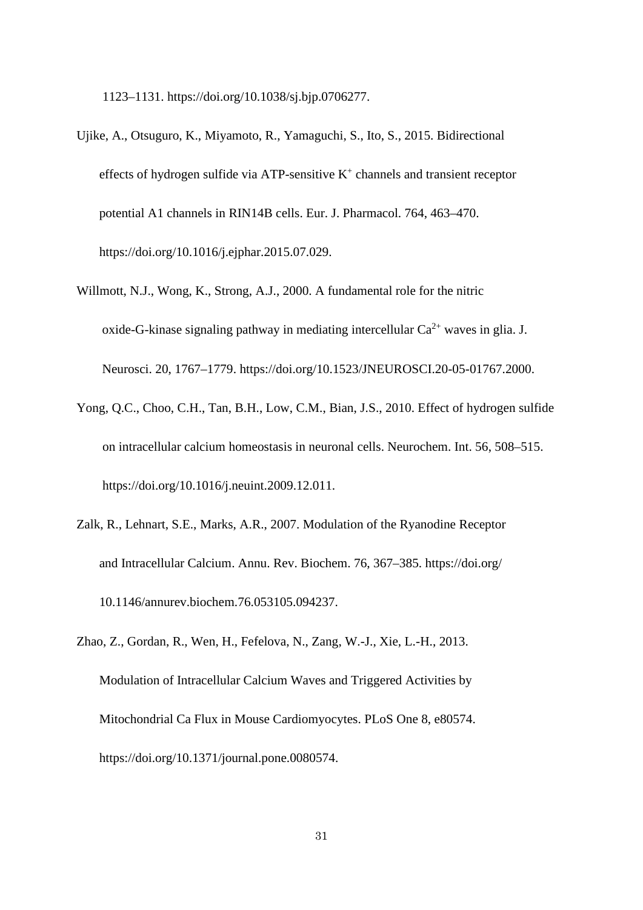1123–1131. https://doi.org/10.1038/sj.bjp.0706277.

- Ujike, A., Otsuguro, K., Miyamoto, R., Yamaguchi, S., Ito, S., 2015. Bidirectional effects of hydrogen sulfide via ATP-sensitive  $K^+$  channels and transient receptor potential A1 channels in RIN14B cells. Eur. J. Pharmacol. 764, 463–470. https://doi.org/10.1016/j.ejphar.2015.07.029.
- Willmott, N.J., Wong, K., Strong, A.J., 2000. A fundamental role for the nitric oxide-G-kinase signaling pathway in mediating intercellular  $Ca^{2+}$  waves in glia. J. Neurosci. 20, 1767–1779. https://doi.org/10.1523/JNEUROSCI.20-05-01767.2000.
- Yong, Q.C., Choo, C.H., Tan, B.H., Low, C.M., Bian, J.S., 2010. Effect of hydrogen sulfide on intracellular calcium homeostasis in neuronal cells. Neurochem. Int. 56, 508–515. https://doi.org/10.1016/j.neuint.2009.12.011.
- Zalk, R., Lehnart, S.E., Marks, A.R., 2007. Modulation of the Ryanodine Receptor and Intracellular Calcium. Annu. Rev. Biochem. 76, 367–385. https://doi.org/ 10.1146/annurev.biochem.76.053105.094237.
- Zhao, Z., Gordan, R., Wen, H., Fefelova, N., Zang, W.-J., Xie, L.-H., 2013. Modulation of Intracellular Calcium Waves and Triggered Activities by Mitochondrial Ca Flux in Mouse Cardiomyocytes. PLoS One 8, e80574. https://doi.org/10.1371/journal.pone.0080574.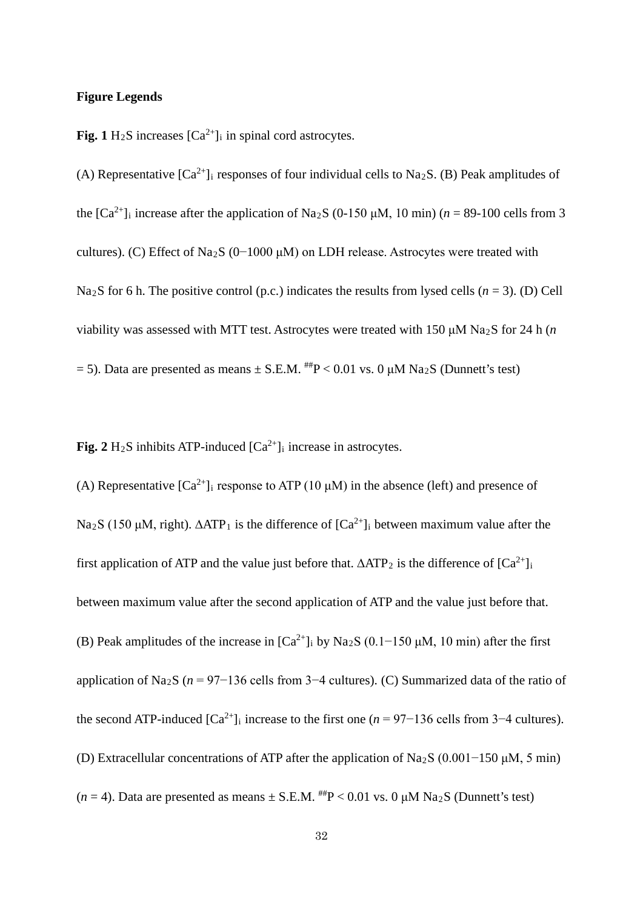#### **Figure Legends**

**Fig. 1**  $H_2S$  increases  $[Ca^{2+}]_i$  in spinal cord astrocytes.

(A) Representative  $[Ca^{2+}]$  responses of four individual cells to Na<sub>2</sub>S. (B) Peak amplitudes of the  $[Ca^{2+}]$ <sub>i</sub> increase after the application of Na<sub>2</sub>S (0-150  $\mu$ M, 10 min) (*n* = 89-100 cells from 3 cultures). (C) Effect of Na2S (0−1000 μM) on LDH release. Astrocytes were treated with Na<sub>2</sub>S for 6 h. The positive control (p.c.) indicates the results from lysed cells ( $n = 3$ ). (D) Cell viability was assessed with MTT test. Astrocytes were treated with 150 μM Na2S for 24 h (*n* = 5). Data are presented as means  $\pm$  S.E.M.  $^{***}P$  < 0.01 vs. 0  $\mu$ M Na<sub>2</sub>S (Dunnett's test)

**Fig.** 2  $H_2S$  inhibits ATP-induced  $[Ca^{2+}]_i$  increase in astrocytes.

(A) Representative  $[Ca^{2+}]$ <sub>i</sub> response to ATP (10  $\mu$ M) in the absence (left) and presence of Na<sub>2</sub>S (150 μM, right).  $ΔATP_1$  is the difference of  $[Ca^{2+}]_i$  between maximum value after the first application of ATP and the value just before that.  $\triangle ATP_2$  is the difference of  $[Ca^{2+}]_i$ between maximum value after the second application of ATP and the value just before that. (B) Peak amplitudes of the increase in  $[Ca^{2+}]$ <sub>i</sub> by Na<sub>2</sub>S (0.1–150 μM, 10 min) after the first application of Na2S (*n* = 97−136 cells from 3−4 cultures). (C) Summarized data of the ratio of the second ATP-induced  $[Ca^{2+}]_i$  increase to the first one ( $n = 97-136$  cells from 3<sup>-4</sup> cultures). (D) Extracellular concentrations of ATP after the application of Na2S (0.001−150 μM, 5 min) ( $n = 4$ ). Data are presented as means  $\pm$  S.E.M. <sup>##</sup>P < 0.01 vs. 0  $\mu$ M Na<sub>2</sub>S (Dunnett's test)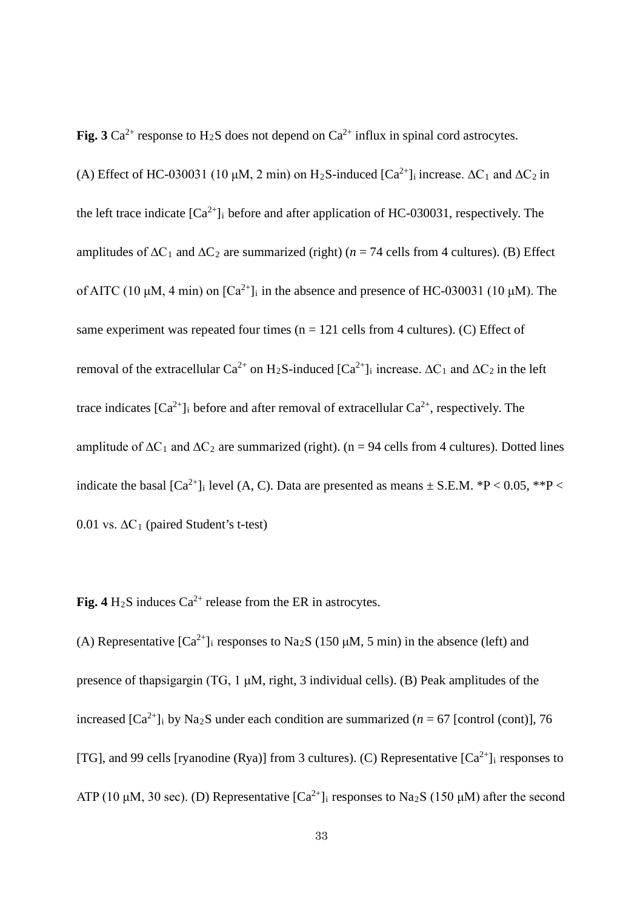**Fig. 3** Ca<sup>2+</sup> response to H<sub>2</sub>S does not depend on Ca<sup>2+</sup> influx in spinal cord astrocytes.

(A) Effect of HC-030031 (10 µM, 2 min) on H<sub>2</sub>S-induced [Ca<sup>2+</sup>]<sub>i</sub> increase.  $\Delta C_1$  and  $\Delta C_2$  in the left trace indicate  $[Ca^{2+}]_i$  before and after application of HC-030031, respectively. The amplitudes of  $\Delta C_1$  and  $\Delta C_2$  are summarized (right) (*n* = 74 cells from 4 cultures). (B) Effect of AITC (10 μM, 4 min) on  $\lceil Ca^{2+} \rceil$  in the absence and presence of HC-030031 (10 μM). The same experiment was repeated four times ( $n = 121$  cells from 4 cultures). (C) Effect of removal of the extracellular Ca<sup>2+</sup> on H<sub>2</sub>S-induced [Ca<sup>2+</sup>]<sub>i</sub> increase.  $\Delta C_1$  and  $\Delta C_2$  in the left trace indicates  $[Ca^{2+}]_i$  before and after removal of extracellular  $Ca^{2+}$ , respectively. The amplitude of  $\Delta C_1$  and  $\Delta C_2$  are summarized (right). (n = 94 cells from 4 cultures). Dotted lines indicate the basal  $[Ca^{2+}]_i$  level (A, C). Data are presented as means  $\pm$  S.E.M. \*P < 0.05, \*\*P < 0.01 vs.  $\Delta C_1$  (paired Student's t-test)

**Fig.** 4  $H_2S$  induces  $Ca^{2+}$  release from the ER in astrocytes.

(A) Representative  $[Ca^{2+}]$ <sub>i</sub> responses to Na<sub>2</sub>S (150  $\mu$ M, 5 min) in the absence (left) and presence of thapsigargin (TG, 1 μM, right, 3 individual cells). (B) Peak amplitudes of the increased  $[Ca^{2+}]$ <sub>i</sub> by Na<sub>2</sub>S under each condition are summarized (*n* = 67 [control (cont)], 76 [TG], and 99 cells [ryanodine (Rya)] from 3 cultures). (C) Representative  $[Ca^{2+}]$ <sub>i</sub> responses to ATP (10 μM, 30 sec). (D) Representative  $\lbrack Ca^{2+}\rbrack$  responses to Na<sub>2</sub>S (150 μM) after the second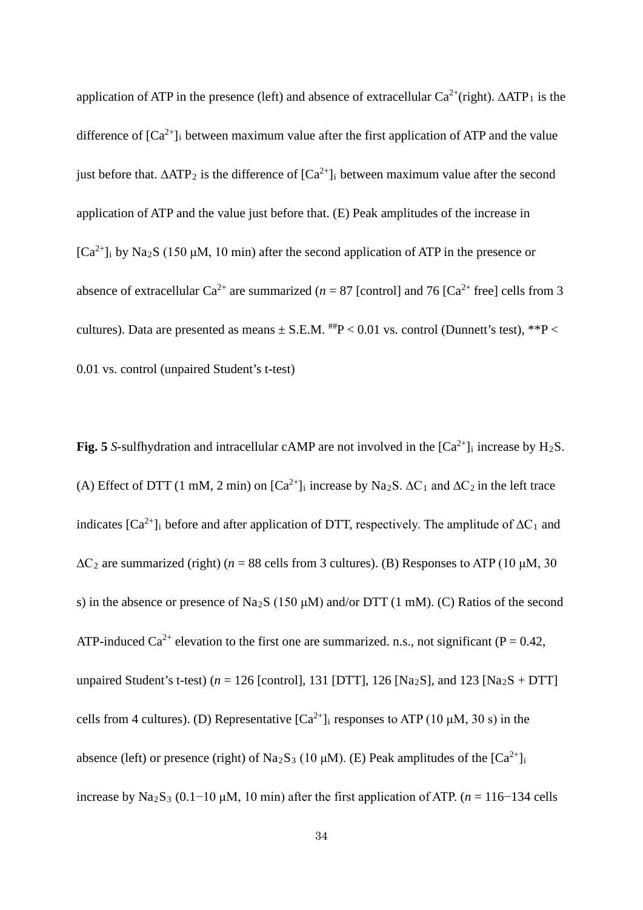application of ATP in the presence (left) and absence of extracellular  $Ca^{2+}$ (right).  $\triangle ATP_1$  is the difference of  $[Ca^{2+}]_i$  between maximum value after the first application of ATP and the value just before that.  $\triangle ATP_2$  is the difference of  $[Ca^{2+}]_i$  between maximum value after the second application of ATP and the value just before that. (E) Peak amplitudes of the increase in  $[Ca^{2+}]_i$  by Na<sub>2</sub>S (150  $\mu$ M, 10 min) after the second application of ATP in the presence or absence of extracellular  $Ca^{2+}$  are summarized ( $n = 87$  [control] and 76 [Ca<sup>2+</sup> free] cells from 3 cultures). Data are presented as means  $\pm$  S.E.M.  $^{***}P < 0.01$  vs. control (Dunnett's test), \*\*P < 0.01 vs. control (unpaired Student's t-test)

**Fig. 5** *S*-sulfhydration and intracellular cAMP are not involved in the  $[Ca^{2+}]$ <sub>i</sub> increase by H<sub>2</sub>S. (A) Effect of DTT (1 mM, 2 min) on  $[Ca^{2+}]_i$  increase by Na<sub>2</sub>S.  $\Delta C_1$  and  $\Delta C_2$  in the left trace indicates  $[Ca^{2+}]$ <sub>i</sub> before and after application of DTT, respectively. The amplitude of  $\Delta C_1$  and  $\Delta C_2$  are summarized (right) ( $n = 88$  cells from 3 cultures). (B) Responses to ATP (10 µM, 30 s) in the absence or presence of Na<sub>2</sub>S (150  $\mu$ M) and/or DTT (1 mM). (C) Ratios of the second ATP-induced Ca<sup>2+</sup> elevation to the first one are summarized. n.s., not significant (P = 0.42, unpaired Student's t-test) ( $n = 126$  [control], 131 [DTT], 126 [Na<sub>2</sub>S], and 123 [Na<sub>2</sub>S + DTT] cells from 4 cultures). (D) Representative  $[Ca^{2+}]$ <sub>i</sub> responses to ATP (10 µM, 30 s) in the absence (left) or presence (right) of Na<sub>2</sub>S<sub>3</sub> (10  $\mu$ M). (E) Peak amplitudes of the [Ca<sup>2+</sup>]<sub>i</sub> increase by Na<sub>2</sub>S<sub>3</sub> (0.1−10 μM, 10 min) after the first application of ATP. (*n* = 116−134 cells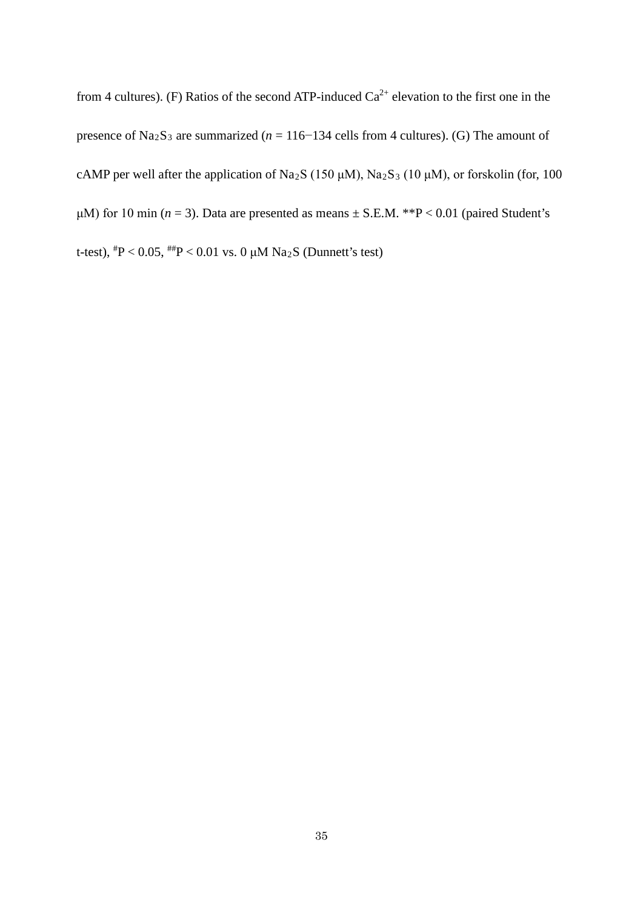from 4 cultures). (F) Ratios of the second ATP-induced  $Ca^{2+}$  elevation to the first one in the presence of Na<sub>2</sub>S<sub>3</sub> are summarized ( $n = 116-134$  cells from 4 cultures). (G) The amount of cAMP per well after the application of Na<sub>2</sub>S (150  $\mu$ M), Na<sub>2</sub>S<sub>3</sub> (10  $\mu$ M), or forskolin (for, 100 μM) for 10 min ( $n = 3$ ). Data are presented as means  $\pm$  S.E.M. \*\*P < 0.01 (paired Student's t-test),  $^{#}P < 0.05$ ,  $^{#}P < 0.01$  vs. 0 µM Na2S (Dunnett's test)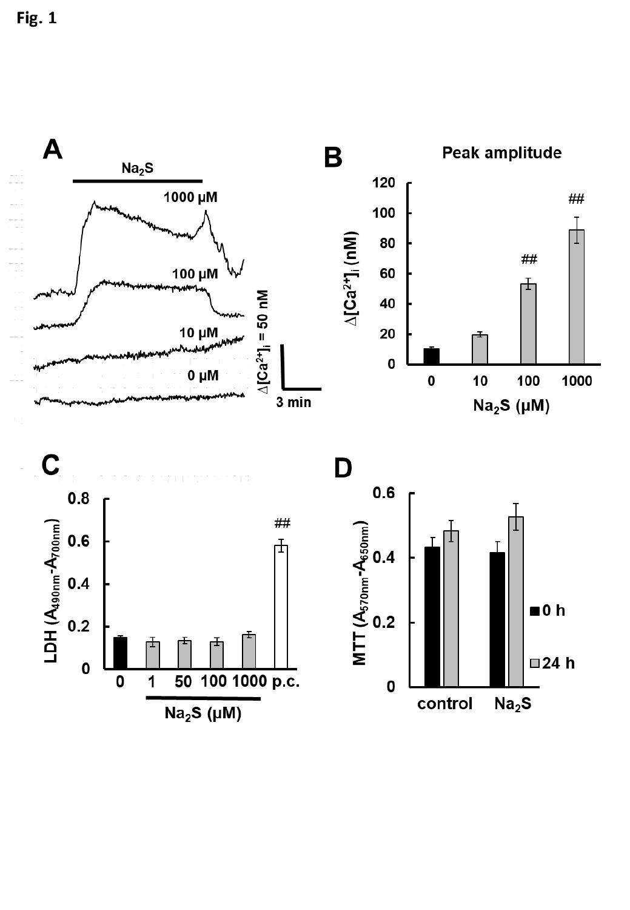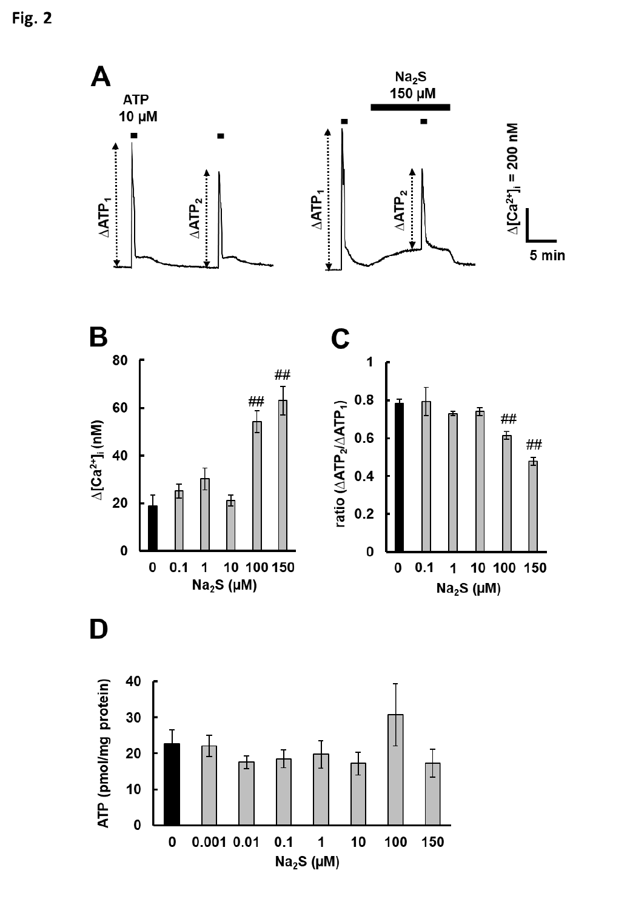Fig. 2

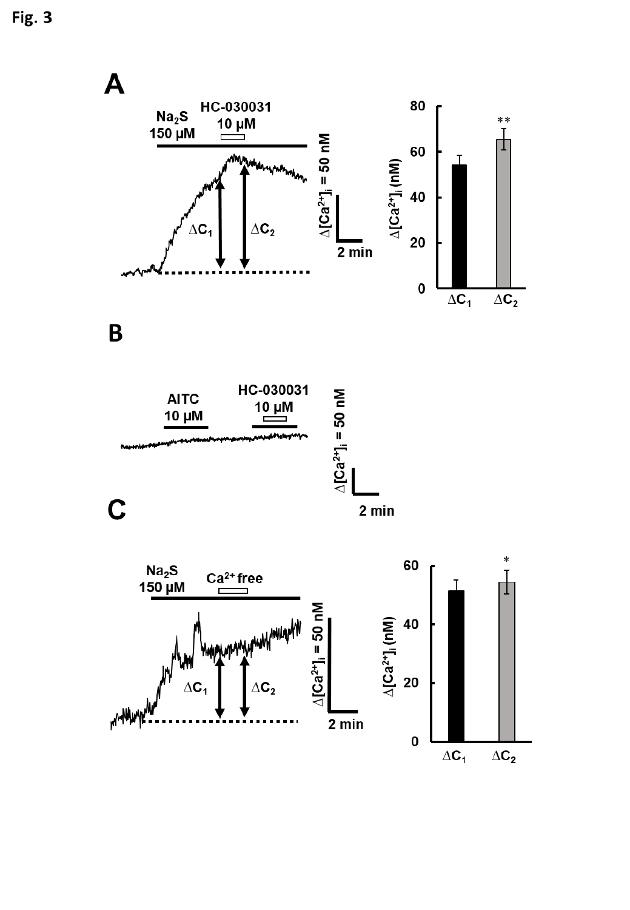

 $\pmb B$ 



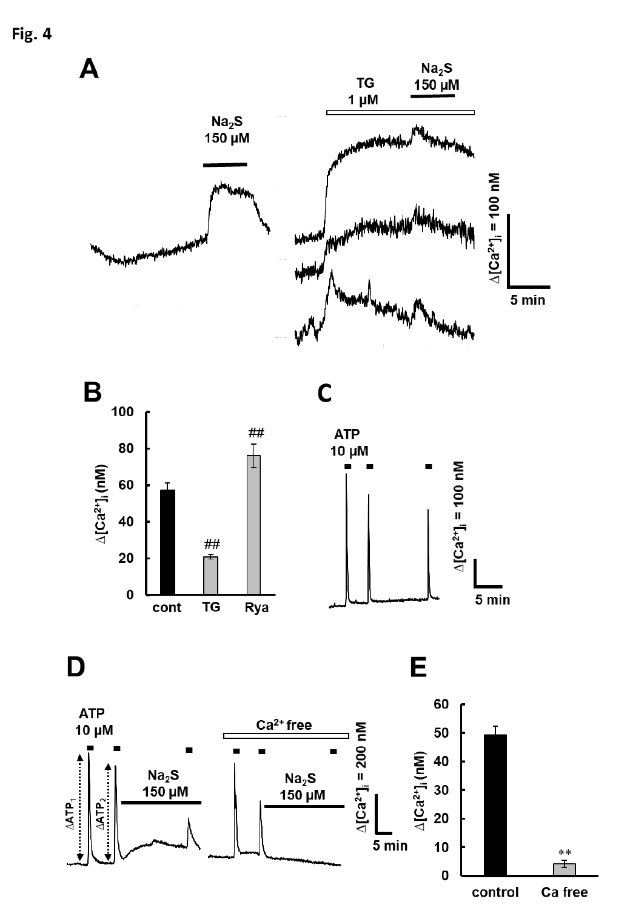Fig. 4

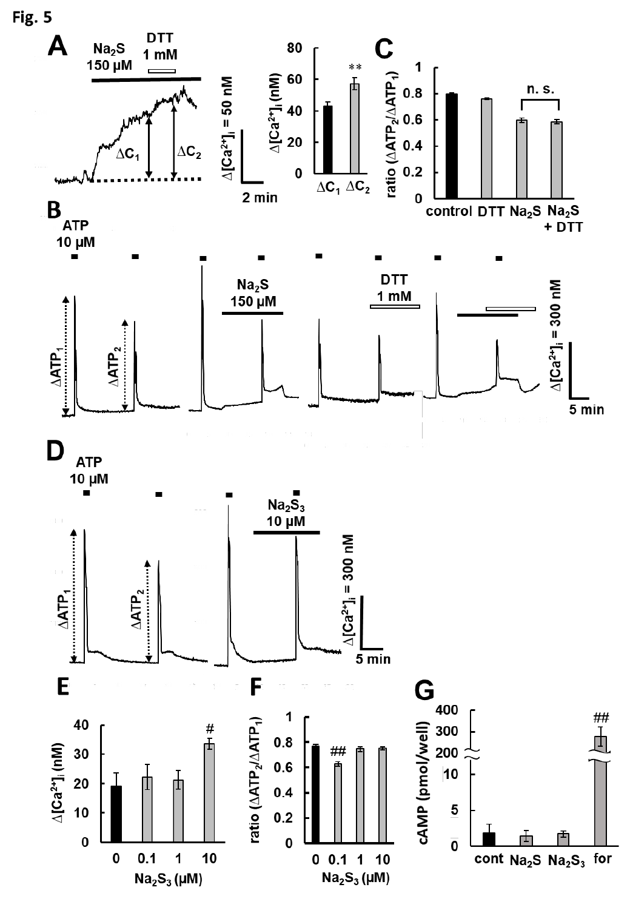Fig. 5

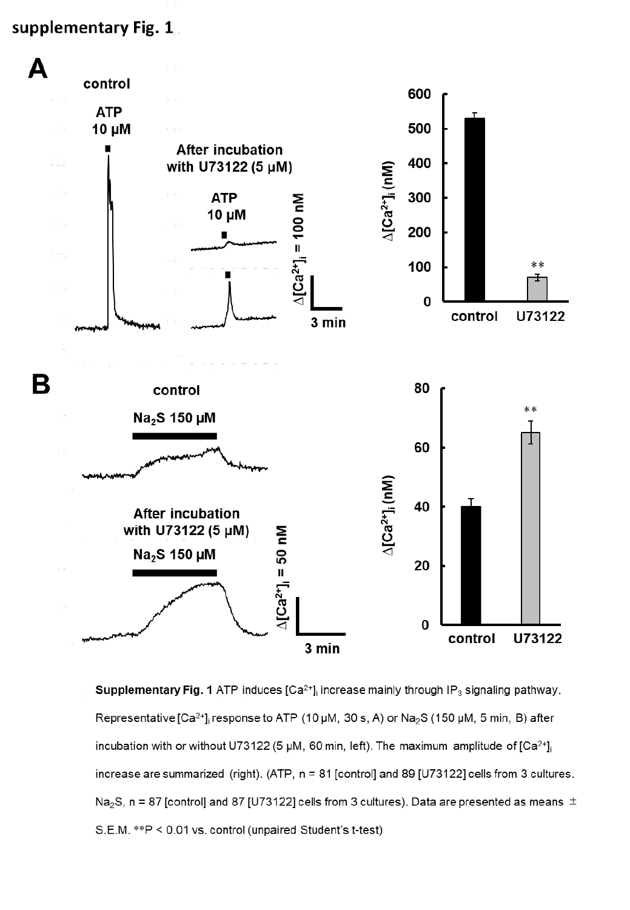# supplementary Fig. 1

800



**Supplementary Fig. 1** ATP induces  $[Ca^{2+}]_i$  increase mainly through IP<sub>3</sub> signaling pathway.  $\overline{0}$ Representative [Ca<sup>2+</sup>], response to ATP (10 µM, 30 s, A) or Na<sub>2</sub>S (150 µM, 5 min, B) after incubation with or without U73122 (5 µM, 60 min, left). The maximum amplitude of  $[Ca^{2+}]$ increase are summarized (right). (ATP, n = 81 [control] and 89 [U73122] cells from 3 cultures. Na<sub>2</sub>S, n = 87 [control] and 87 [U73122] cells from 3 cultures). Data are presented as means  $\pm$ S.E.M. \*\*P < 0.01 vs. control (unpaired Student's t-test)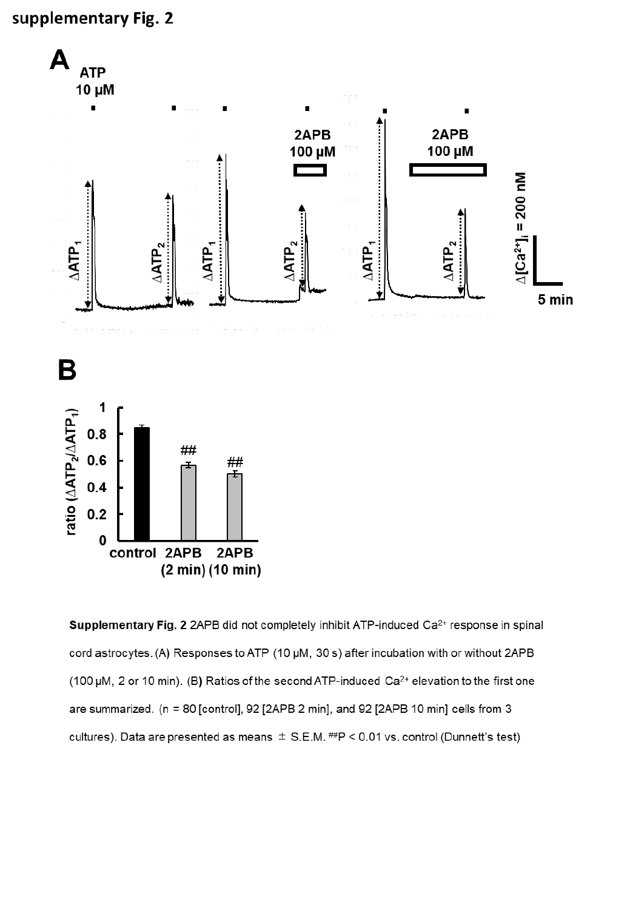# supplementary Fig. 2



Supplementary Fig. 2 2APB did not completely inhibit ATP-induced Ca<sup>2+</sup> response in spinal cord astrocytes. (A) Responses to ATP (10 µM, 30 s) after incubation with or without 2APB (100 µM, 2 or 10 min). (B) Ratios of the second ATP-induced Ca<sup>2+</sup> elevation to the first one are summarized. (n = 80 [control], 92 [2APB 2 min], and 92 [2APB 10 min] cells from 3 cultures). Data are presented as means  $\pm$  S.E.M. #P < 0.01 vs. control (Dunnett's test)